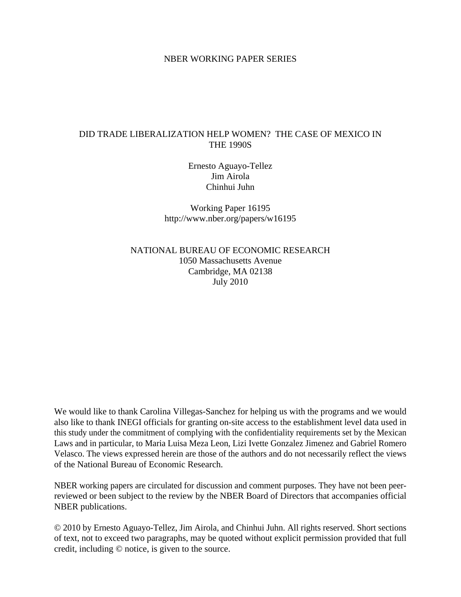## NBER WORKING PAPER SERIES

# DID TRADE LIBERALIZATION HELP WOMEN? THE CASE OF MEXICO IN THE 1990S

Ernesto Aguayo-Tellez Jim Airola Chinhui Juhn

Working Paper 16195 http://www.nber.org/papers/w16195

NATIONAL BUREAU OF ECONOMIC RESEARCH 1050 Massachusetts Avenue Cambridge, MA 02138 July 2010

We would like to thank Carolina Villegas-Sanchez for helping us with the programs and we would also like to thank INEGI officials for granting on-site access to the establishment level data used in this study under the commitment of complying with the confidentiality requirements set by the Mexican Laws and in particular, to Maria Luisa Meza Leon, Lizi Ivette Gonzalez Jimenez and Gabriel Romero Velasco. The views expressed herein are those of the authors and do not necessarily reflect the views of the National Bureau of Economic Research.

NBER working papers are circulated for discussion and comment purposes. They have not been peerreviewed or been subject to the review by the NBER Board of Directors that accompanies official NBER publications.

© 2010 by Ernesto Aguayo-Tellez, Jim Airola, and Chinhui Juhn. All rights reserved. Short sections of text, not to exceed two paragraphs, may be quoted without explicit permission provided that full credit, including © notice, is given to the source.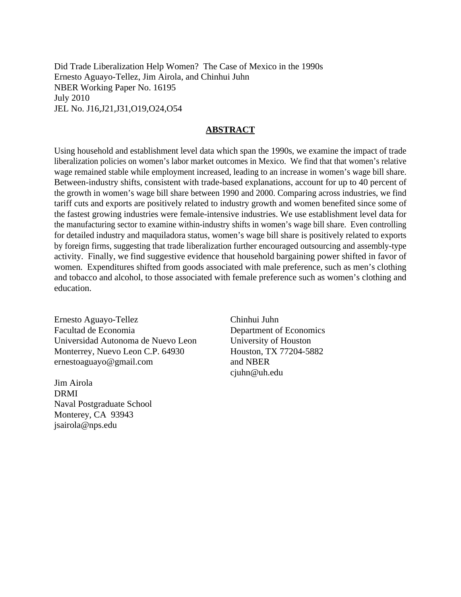Did Trade Liberalization Help Women? The Case of Mexico in the 1990s Ernesto Aguayo-Tellez, Jim Airola, and Chinhui Juhn NBER Working Paper No. 16195 July 2010 JEL No. J16,J21,J31,O19,O24,O54

## **ABSTRACT**

Using household and establishment level data which span the 1990s, we examine the impact of trade liberalization policies on women's labor market outcomes in Mexico. We find that that women's relative wage remained stable while employment increased, leading to an increase in women's wage bill share. Between-industry shifts, consistent with trade-based explanations, account for up to 40 percent of the growth in women's wage bill share between 1990 and 2000. Comparing across industries, we find tariff cuts and exports are positively related to industry growth and women benefited since some of the fastest growing industries were female-intensive industries. We use establishment level data for the manufacturing sector to examine within-industry shifts in women's wage bill share. Even controlling for detailed industry and maquiladora status, women's wage bill share is positively related to exports by foreign firms, suggesting that trade liberalization further encouraged outsourcing and assembly-type activity. Finally, we find suggestive evidence that household bargaining power shifted in favor of women. Expenditures shifted from goods associated with male preference, such as men's clothing and tobacco and alcohol, to those associated with female preference such as women's clothing and education.

Ernesto Aguayo-Tellez Facultad de Economia Universidad Autonoma de Nuevo Leon Monterrey, Nuevo Leon C.P. 64930 ernestoaguayo@gmail.com

Jim Airola DRMI Naval Postgraduate School Monterey, CA 93943 jsairola@nps.edu

Chinhui Juhn Department of Economics University of Houston Houston, TX 77204-5882 and NBER cjuhn@uh.edu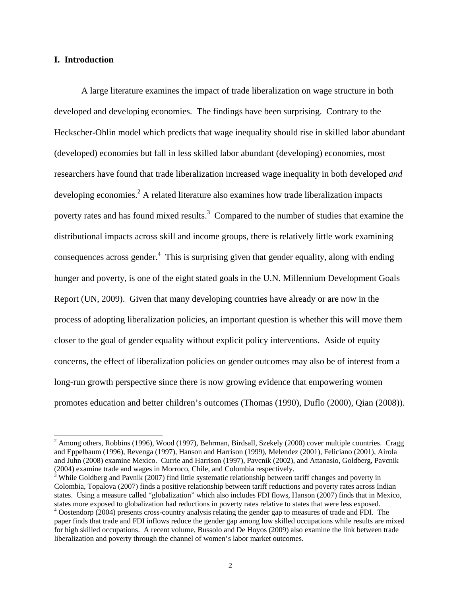## **I. Introduction**

 $\overline{a}$ 

A large literature examines the impact of trade liberalization on wage structure in both developed and developing economies. The findings have been surprising. Contrary to the Heckscher-Ohlin model which predicts that wage inequality should rise in skilled labor abundant (developed) economies but fall in less skilled labor abundant (developing) economies, most researchers have found that trade liberalization increased wage inequality in both developed *and* developing economies.<sup>2</sup> A related literature also examines how trade liberalization impacts poverty rates and has found mixed results.<sup>3</sup> Compared to the number of studies that examine the distributional impacts across skill and income groups, there is relatively little work examining consequences across gender. $4$  This is surprising given that gender equality, along with ending hunger and poverty, is one of the eight stated goals in the U.N. Millennium Development Goals Report (UN, 2009). Given that many developing countries have already or are now in the process of adopting liberalization policies, an important question is whether this will move them closer to the goal of gender equality without explicit policy interventions. Aside of equity concerns, the effect of liberalization policies on gender outcomes may also be of interest from a long-run growth perspective since there is now growing evidence that empowering women promotes education and better children's outcomes (Thomas (1990), Duflo (2000), Qian (2008)).

 $2$  Among others, Robbins (1996), Wood (1997), Behrman, Birdsall, Szekely (2000) cover multiple countries. Cragg and Eppelbaum (1996), Revenga (1997), Hanson and Harrison (1999), Melendez (2001), Feliciano (2001), Airola and Juhn (2008) examine Mexico. Currie and Harrison (1997), Pavcnik (2002), and Attanasio, Goldberg, Pavcnik (2004) examine trade and wages in Morroco, Chile, and Colombia respectively. 3

<sup>&</sup>lt;sup>3</sup> While Goldberg and Pavnik (2007) find little systematic relationship between tariff changes and poverty in Colombia, Topalova (2007) finds a positive relationship between tariff reductions and poverty rates across Indian states. Using a measure called "globalization" which also includes FDI flows, Hanson (2007) finds that in Mexico, states more exposed to globalization had reductions in poverty rates relative to states that were less exposed. 4

Oostendorp (2004) presents cross-country analysis relating the gender gap to measures of trade and FDI. The paper finds that trade and FDI inflows reduce the gender gap among low skilled occupations while results are mixed for high skilled occupations. A recent volume, Bussolo and De Hoyos (2009) also examine the link between trade liberalization and poverty through the channel of women's labor market outcomes.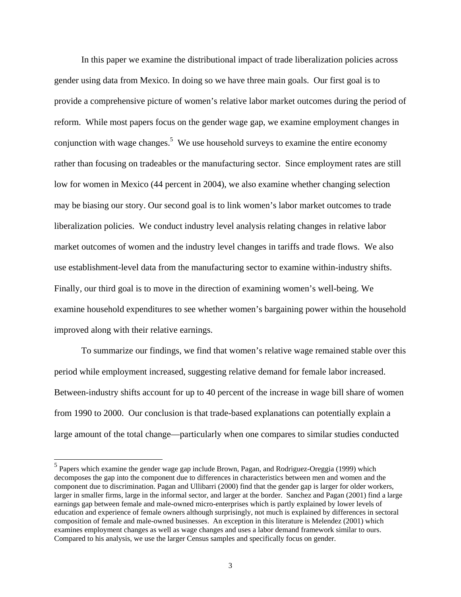In this paper we examine the distributional impact of trade liberalization policies across gender using data from Mexico. In doing so we have three main goals. Our first goal is to provide a comprehensive picture of women's relative labor market outcomes during the period of reform. While most papers focus on the gender wage gap, we examine employment changes in conjunction with wage changes.<sup>5</sup> We use household surveys to examine the entire economy rather than focusing on tradeables or the manufacturing sector. Since employment rates are still low for women in Mexico (44 percent in 2004), we also examine whether changing selection may be biasing our story. Our second goal is to link women's labor market outcomes to trade liberalization policies. We conduct industry level analysis relating changes in relative labor market outcomes of women and the industry level changes in tariffs and trade flows. We also use establishment-level data from the manufacturing sector to examine within-industry shifts. Finally, our third goal is to move in the direction of examining women's well-being. We examine household expenditures to see whether women's bargaining power within the household improved along with their relative earnings.

To summarize our findings, we find that women's relative wage remained stable over this period while employment increased, suggesting relative demand for female labor increased. Between-industry shifts account for up to 40 percent of the increase in wage bill share of women from 1990 to 2000. Our conclusion is that trade-based explanations can potentially explain a large amount of the total change—particularly when one compares to similar studies conducted

<sup>&</sup>lt;sup>5</sup><br><sup>5</sup> Papers which examine the gender wage gap include Brown, Pagan, and Rodriguez-Oreggia (1999) which decomposes the gap into the component due to differences in characteristics between men and women and the component due to discrimination. Pagan and Ullibarri (2000) find that the gender gap is larger for older workers, larger in smaller firms, large in the informal sector, and larger at the border. Sanchez and Pagan (2001) find a large earnings gap between female and male-owned micro-enterprises which is partly explained by lower levels of education and experience of female owners although surprisingly, not much is explained by differences in sectoral composition of female and male-owned businesses. An exception in this literature is Melendez (2001) which examines employment changes as well as wage changes and uses a labor demand framework similar to ours. Compared to his analysis, we use the larger Census samples and specifically focus on gender.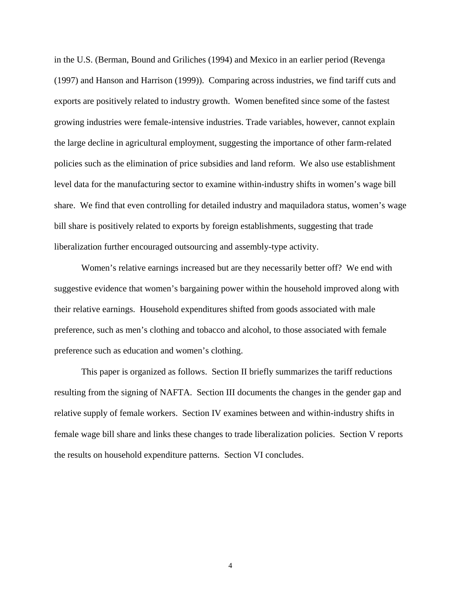in the U.S. (Berman, Bound and Griliches (1994) and Mexico in an earlier period (Revenga (1997) and Hanson and Harrison (1999)). Comparing across industries, we find tariff cuts and exports are positively related to industry growth. Women benefited since some of the fastest growing industries were female-intensive industries. Trade variables, however, cannot explain the large decline in agricultural employment, suggesting the importance of other farm-related policies such as the elimination of price subsidies and land reform. We also use establishment level data for the manufacturing sector to examine within-industry shifts in women's wage bill share. We find that even controlling for detailed industry and maquiladora status, women's wage bill share is positively related to exports by foreign establishments, suggesting that trade liberalization further encouraged outsourcing and assembly-type activity.

Women's relative earnings increased but are they necessarily better off? We end with suggestive evidence that women's bargaining power within the household improved along with their relative earnings. Household expenditures shifted from goods associated with male preference, such as men's clothing and tobacco and alcohol, to those associated with female preference such as education and women's clothing.

This paper is organized as follows. Section II briefly summarizes the tariff reductions resulting from the signing of NAFTA. Section III documents the changes in the gender gap and relative supply of female workers. Section IV examines between and within-industry shifts in female wage bill share and links these changes to trade liberalization policies. Section V reports the results on household expenditure patterns. Section VI concludes.

4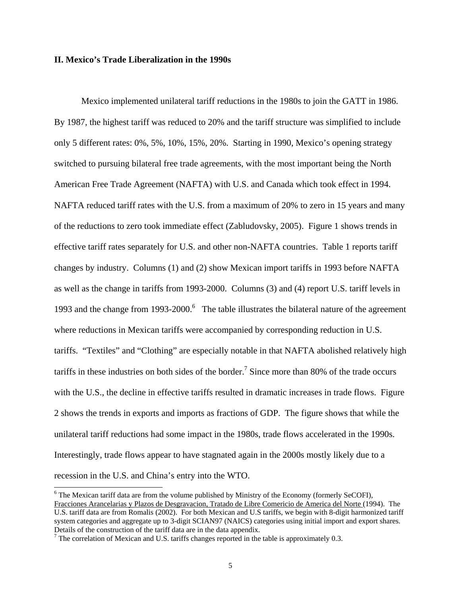## **II. Mexico's Trade Liberalization in the 1990s**

Mexico implemented unilateral tariff reductions in the 1980s to join the GATT in 1986. By 1987, the highest tariff was reduced to 20% and the tariff structure was simplified to include only 5 different rates: 0%, 5%, 10%, 15%, 20%. Starting in 1990, Mexico's opening strategy switched to pursuing bilateral free trade agreements, with the most important being the North American Free Trade Agreement (NAFTA) with U.S. and Canada which took effect in 1994. NAFTA reduced tariff rates with the U.S. from a maximum of 20% to zero in 15 years and many of the reductions to zero took immediate effect (Zabludovsky, 2005). Figure 1 shows trends in effective tariff rates separately for U.S. and other non-NAFTA countries. Table 1 reports tariff changes by industry. Columns (1) and (2) show Mexican import tariffs in 1993 before NAFTA as well as the change in tariffs from 1993-2000. Columns (3) and (4) report U.S. tariff levels in 1993 and the change from  $1993$ - $2000$ .<sup>6</sup> The table illustrates the bilateral nature of the agreement where reductions in Mexican tariffs were accompanied by corresponding reduction in U.S. tariffs. "Textiles" and "Clothing" are especially notable in that NAFTA abolished relatively high tariffs in these industries on both sides of the border.<sup>7</sup> Since more than 80% of the trade occurs with the U.S., the decline in effective tariffs resulted in dramatic increases in trade flows. Figure 2 shows the trends in exports and imports as fractions of GDP. The figure shows that while the unilateral tariff reductions had some impact in the 1980s, trade flows accelerated in the 1990s. Interestingly, trade flows appear to have stagnated again in the 2000s mostly likely due to a recession in the U.S. and China's entry into the WTO.

l

<sup>&</sup>lt;sup>6</sup> The Mexican tariff data are from the volume published by Ministry of the Economy (formerly SeCOFI), Fracciones Arancelarias y Plazos de Desgravacion, Tratado de Libre Comericio de America del Norte (1994). The U.S. tariff data are from Romalis (2002). For both Mexican and U.S tariffs, we begin with 8-digit harmonized tariff system categories and aggregate up to 3-digit SCIAN97 (NAICS) categories using initial import and export shares. Details of the construction of the tariff data are in the data appendix.

 $7$  The correlation of Mexican and U.S. tariffs changes reported in the table is approximately 0.3.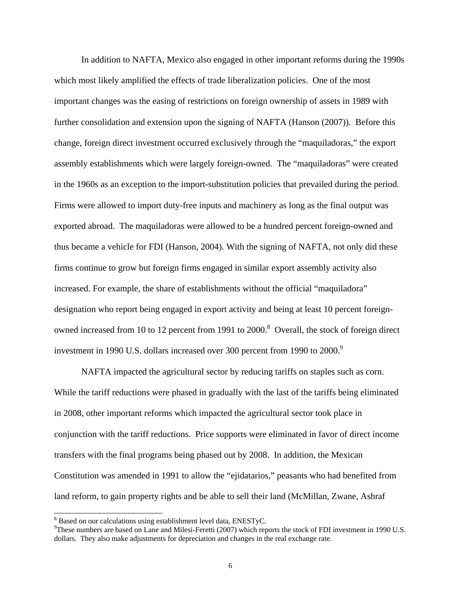In addition to NAFTA, Mexico also engaged in other important reforms during the 1990s which most likely amplified the effects of trade liberalization policies. One of the most important changes was the easing of restrictions on foreign ownership of assets in 1989 with further consolidation and extension upon the signing of NAFTA (Hanson (2007)). Before this change, foreign direct investment occurred exclusively through the "maquiladoras," the export assembly establishments which were largely foreign-owned. The "maquiladoras" were created in the 1960s as an exception to the import-substitution policies that prevailed during the period. Firms were allowed to import duty-free inputs and machinery as long as the final output was exported abroad. The maquiladoras were allowed to be a hundred percent foreign-owned and thus became a vehicle for FDI (Hanson, 2004). With the signing of NAFTA, not only did these firms continue to grow but foreign firms engaged in similar export assembly activity also increased. For example, the share of establishments without the official "maquiladora" designation who report being engaged in export activity and being at least 10 percent foreignowned increased from 10 to 12 percent from 1991 to 2000.<sup>8</sup> Overall, the stock of foreign direct investment in 1990 U.S. dollars increased over 300 percent from 1990 to 2000.<sup>9</sup>

NAFTA impacted the agricultural sector by reducing tariffs on staples such as corn. While the tariff reductions were phased in gradually with the last of the tariffs being eliminated in 2008, other important reforms which impacted the agricultural sector took place in conjunction with the tariff reductions. Price supports were eliminated in favor of direct income transfers with the final programs being phased out by 2008. In addition, the Mexican Constitution was amended in 1991 to allow the "ejidatarios," peasants who had benefited from land reform, to gain property rights and be able to sell their land (McMillan, Zwane, Ashraf

l

 $8$  Based on our calculations using establishment level data, ENESTyC.

<sup>&</sup>lt;sup>9</sup>These numbers are based on Lane and Milesi-Feretti (2007) which reports the stock of FDI investment in 1990 U.S. dollars. They also make adjustments for depreciation and changes in the real exchange rate.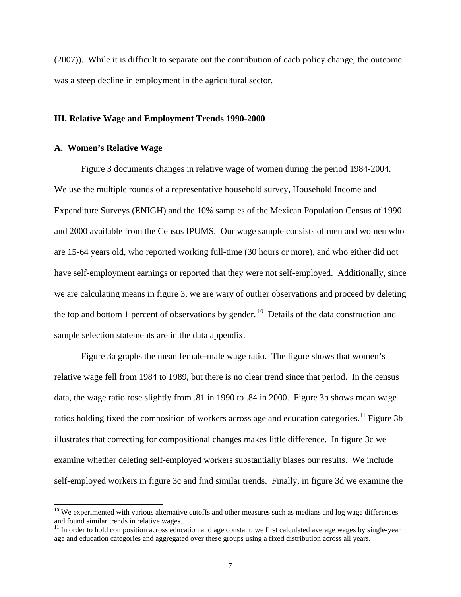(2007)). While it is difficult to separate out the contribution of each policy change, the outcome was a steep decline in employment in the agricultural sector.

### **III. Relative Wage and Employment Trends 1990-2000**

## **A. Women's Relative Wage**

 $\overline{a}$ 

Figure 3 documents changes in relative wage of women during the period 1984-2004. We use the multiple rounds of a representative household survey, Household Income and Expenditure Surveys (ENIGH) and the 10% samples of the Mexican Population Census of 1990 and 2000 available from the Census IPUMS. Our wage sample consists of men and women who are 15-64 years old, who reported working full-time (30 hours or more), and who either did not have self-employment earnings or reported that they were not self-employed. Additionally, since we are calculating means in figure 3, we are wary of outlier observations and proceed by deleting the top and bottom 1 percent of observations by gender. <sup>10</sup> Details of the data construction and sample selection statements are in the data appendix.

Figure 3a graphs the mean female-male wage ratio. The figure shows that women's relative wage fell from 1984 to 1989, but there is no clear trend since that period. In the census data, the wage ratio rose slightly from .81 in 1990 to .84 in 2000. Figure 3b shows mean wage ratios holding fixed the composition of workers across age and education categories.<sup>11</sup> Figure 3b illustrates that correcting for compositional changes makes little difference. In figure 3c we examine whether deleting self-employed workers substantially biases our results. We include self-employed workers in figure 3c and find similar trends. Finally, in figure 3d we examine the

 $10$  We experimented with various alternative cutoffs and other measures such as medians and log wage differences and found similar trends in relative wages.

<sup>&</sup>lt;sup>11</sup> In order to hold composition across education and age constant, we first calculated average wages by single-year age and education categories and aggregated over these groups using a fixed distribution across all years.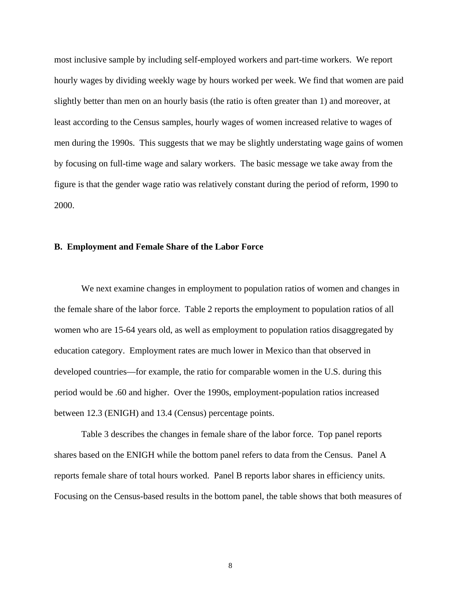most inclusive sample by including self-employed workers and part-time workers. We report hourly wages by dividing weekly wage by hours worked per week. We find that women are paid slightly better than men on an hourly basis (the ratio is often greater than 1) and moreover, at least according to the Census samples, hourly wages of women increased relative to wages of men during the 1990s. This suggests that we may be slightly understating wage gains of women by focusing on full-time wage and salary workers. The basic message we take away from the figure is that the gender wage ratio was relatively constant during the period of reform, 1990 to 2000.

## **B. Employment and Female Share of the Labor Force**

We next examine changes in employment to population ratios of women and changes in the female share of the labor force. Table 2 reports the employment to population ratios of all women who are 15-64 years old, as well as employment to population ratios disaggregated by education category. Employment rates are much lower in Mexico than that observed in developed countries—for example, the ratio for comparable women in the U.S. during this period would be .60 and higher. Over the 1990s, employment-population ratios increased between 12.3 (ENIGH) and 13.4 (Census) percentage points.

Table 3 describes the changes in female share of the labor force. Top panel reports shares based on the ENIGH while the bottom panel refers to data from the Census. Panel A reports female share of total hours worked. Panel B reports labor shares in efficiency units. Focusing on the Census-based results in the bottom panel, the table shows that both measures of

8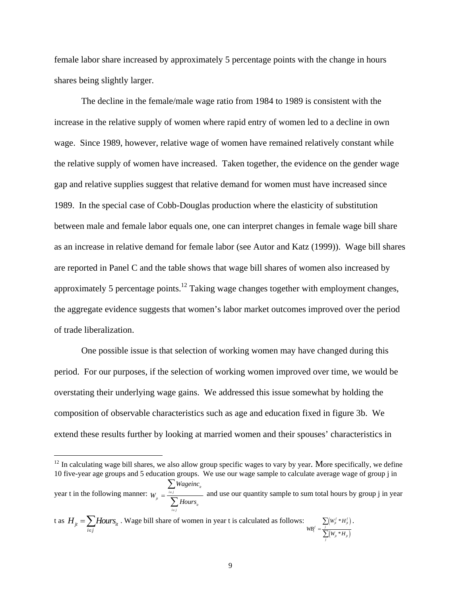female labor share increased by approximately 5 percentage points with the change in hours shares being slightly larger.

The decline in the female/male wage ratio from 1984 to 1989 is consistent with the increase in the relative supply of women where rapid entry of women led to a decline in own wage. Since 1989, however, relative wage of women have remained relatively constant while the relative supply of women have increased. Taken together, the evidence on the gender wage gap and relative supplies suggest that relative demand for women must have increased since 1989. In the special case of Cobb-Douglas production where the elasticity of substitution between male and female labor equals one, one can interpret changes in female wage bill share as an increase in relative demand for female labor (see Autor and Katz (1999)). Wage bill shares are reported in Panel C and the table shows that wage bill shares of women also increased by approximately 5 percentage points.<sup>12</sup> Taking wage changes together with employment changes, the aggregate evidence suggests that women's labor market outcomes improved over the period of trade liberalization.

One possible issue is that selection of working women may have changed during this period. For our purposes, if the selection of working women improved over time, we would be overstating their underlying wage gains. We addressed this issue somewhat by holding the composition of observable characteristics such as age and education fixed in figure 3b. We extend these results further by looking at married women and their spouses' characteristics in

t as  $H_{it} = \sum$ *Hours*<sub>it</sub> *i*∈j  $H_{ii} = \sum$ *Hours*  $=\sum_{i\in j}$  Hours<sub>i</sub>. Wage bill share of women in year t is calculated as follows:  $\sum_{W B_i^f = \frac{j}{\sum (W_i + H_j^f)}}$  $\left( W_{_{it}}\ast H_{_{it}}\right)$ \* \* *f f jt jt j f t jt jt j*  $W$ <sup>*i*</sup></sup> $*$ *H*  $W B_t^f = \frac{f}{\sum_{i=1}^{f} (W_{it} * H_{it})}$ ∑ ∑ .

 $\overline{a}$ 

 $12$  In calculating wage bill shares, we also allow group specific wages to vary by year. More specifically, we define 10 five-year age groups and 5 education groups. We use our wage sample to calculate average wage of group j in year t in the following manner:  $W = \frac{\sum_i n_i \sinh u_i}{\sum_i n_i}$ *jt it i j* ∈ *Wageinc W Hours*  $=\frac{i\epsilon}{\sqrt{2}}$ ∑  $\sum$  and use our quantity sample to sum total hours by group j in year  $\sum$  *Hours*<sub>*n*</sub>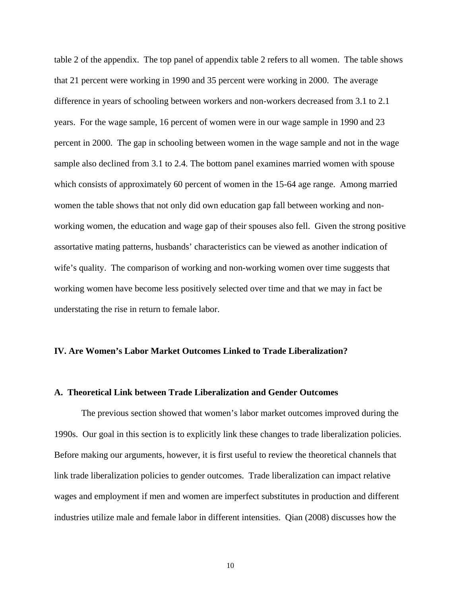table 2 of the appendix. The top panel of appendix table 2 refers to all women. The table shows that 21 percent were working in 1990 and 35 percent were working in 2000. The average difference in years of schooling between workers and non-workers decreased from 3.1 to 2.1 years. For the wage sample, 16 percent of women were in our wage sample in 1990 and 23 percent in 2000. The gap in schooling between women in the wage sample and not in the wage sample also declined from 3.1 to 2.4. The bottom panel examines married women with spouse which consists of approximately 60 percent of women in the 15-64 age range. Among married women the table shows that not only did own education gap fall between working and nonworking women, the education and wage gap of their spouses also fell. Given the strong positive assortative mating patterns, husbands' characteristics can be viewed as another indication of wife's quality. The comparison of working and non-working women over time suggests that working women have become less positively selected over time and that we may in fact be understating the rise in return to female labor.

## **IV. Are Women's Labor Market Outcomes Linked to Trade Liberalization?**

## **A. Theoretical Link between Trade Liberalization and Gender Outcomes**

The previous section showed that women's labor market outcomes improved during the 1990s. Our goal in this section is to explicitly link these changes to trade liberalization policies. Before making our arguments, however, it is first useful to review the theoretical channels that link trade liberalization policies to gender outcomes. Trade liberalization can impact relative wages and employment if men and women are imperfect substitutes in production and different industries utilize male and female labor in different intensities. Qian (2008) discusses how the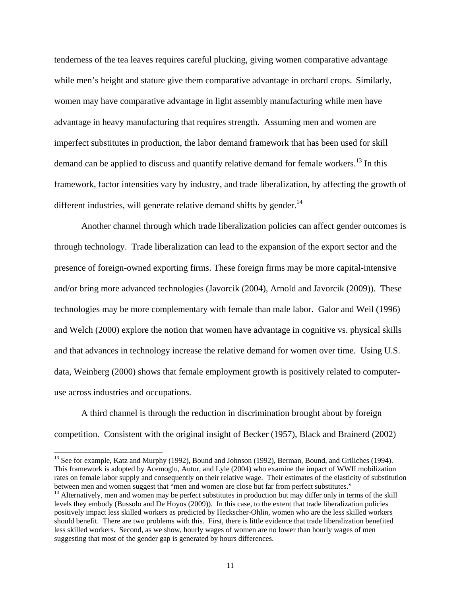tenderness of the tea leaves requires careful plucking, giving women comparative advantage while men's height and stature give them comparative advantage in orchard crops. Similarly, women may have comparative advantage in light assembly manufacturing while men have advantage in heavy manufacturing that requires strength. Assuming men and women are imperfect substitutes in production, the labor demand framework that has been used for skill demand can be applied to discuss and quantify relative demand for female workers.<sup>13</sup> In this framework, factor intensities vary by industry, and trade liberalization, by affecting the growth of different industries, will generate relative demand shifts by gender.<sup>14</sup>

Another channel through which trade liberalization policies can affect gender outcomes is through technology. Trade liberalization can lead to the expansion of the export sector and the presence of foreign-owned exporting firms. These foreign firms may be more capital-intensive and/or bring more advanced technologies (Javorcik (2004), Arnold and Javorcik (2009)). These technologies may be more complementary with female than male labor. Galor and Weil (1996) and Welch (2000) explore the notion that women have advantage in cognitive vs. physical skills and that advances in technology increase the relative demand for women over time. Using U.S. data, Weinberg (2000) shows that female employment growth is positively related to computeruse across industries and occupations.

A third channel is through the reduction in discrimination brought about by foreign competition. Consistent with the original insight of Becker (1957), Black and Brainerd (2002)

 $\overline{a}$ 

<sup>&</sup>lt;sup>13</sup> See for example, Katz and Murphy (1992), Bound and Johnson (1992), Berman, Bound, and Griliches (1994). This framework is adopted by Acemoglu, Autor, and Lyle (2004) who examine the impact of WWII mobilization rates on female labor supply and consequently on their relative wage. Their estimates of the elasticity of substitution between men and women suggest that "men and women are close but far from perfect substitutes."

 $14$  Alternatively, men and women may be perfect substitutes in production but may differ only in terms of the skill levels they embody (Bussolo and De Hoyos (2009)). In this case, to the extent that trade liberalization policies positively impact less skilled workers as predicted by Heckscher-Ohlin, women who are the less skilled workers should benefit. There are two problems with this. First, there is little evidence that trade liberalization benefited less skilled workers. Second, as we show, hourly wages of women are no lower than hourly wages of men suggesting that most of the gender gap is generated by hours differences.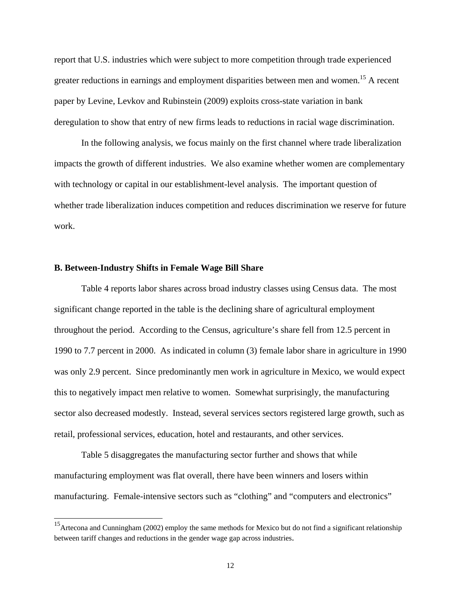report that U.S. industries which were subject to more competition through trade experienced greater reductions in earnings and employment disparities between men and women.<sup>15</sup> A recent paper by Levine, Levkov and Rubinstein (2009) exploits cross-state variation in bank deregulation to show that entry of new firms leads to reductions in racial wage discrimination.

In the following analysis, we focus mainly on the first channel where trade liberalization impacts the growth of different industries. We also examine whether women are complementary with technology or capital in our establishment-level analysis. The important question of whether trade liberalization induces competition and reduces discrimination we reserve for future work.

## **B. Between-Industry Shifts in Female Wage Bill Share**

 $\overline{a}$ 

Table 4 reports labor shares across broad industry classes using Census data. The most significant change reported in the table is the declining share of agricultural employment throughout the period. According to the Census, agriculture's share fell from 12.5 percent in 1990 to 7.7 percent in 2000. As indicated in column (3) female labor share in agriculture in 1990 was only 2.9 percent. Since predominantly men work in agriculture in Mexico, we would expect this to negatively impact men relative to women. Somewhat surprisingly, the manufacturing sector also decreased modestly. Instead, several services sectors registered large growth, such as retail, professional services, education, hotel and restaurants, and other services.

Table 5 disaggregates the manufacturing sector further and shows that while manufacturing employment was flat overall, there have been winners and losers within manufacturing. Female-intensive sectors such as "clothing" and "computers and electronics"

<sup>&</sup>lt;sup>15</sup>Artecona and Cunningham (2002) employ the same methods for Mexico but do not find a significant relationship between tariff changes and reductions in the gender wage gap across industries.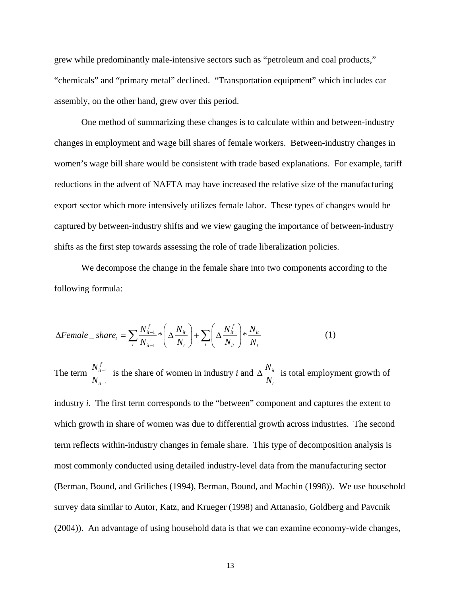grew while predominantly male-intensive sectors such as "petroleum and coal products," "chemicals" and "primary metal" declined. "Transportation equipment" which includes car assembly, on the other hand, grew over this period.

One method of summarizing these changes is to calculate within and between-industry changes in employment and wage bill shares of female workers. Between-industry changes in women's wage bill share would be consistent with trade based explanations. For example, tariff reductions in the advent of NAFTA may have increased the relative size of the manufacturing export sector which more intensively utilizes female labor. These types of changes would be captured by between-industry shifts and we view gauging the importance of between-industry shifts as the first step towards assessing the role of trade liberalization policies.

We decompose the change in the female share into two components according to the following formula:

$$
\Delta Female\_share_t = \sum_{i} \frac{N_{it-1}^f}{N_{it-1}} * \left(\Delta \frac{N_{it}}{N_t}\right) + \sum_{i} \left(\Delta \frac{N_{it}^f}{N_{it}}\right) * \frac{N_{it}}{N_t}
$$
(1)

The term  $\frac{1}{1}$ 1 *f it it N N* − − is the share of women in industry *i* and  $\Delta \frac{N_{ii}}{N_{i}}$ *t N N*  $\Delta \frac{N_{it}}{N}$  is total employment growth of

industry *i*. The first term corresponds to the "between" component and captures the extent to which growth in share of women was due to differential growth across industries. The second term reflects within-industry changes in female share. This type of decomposition analysis is most commonly conducted using detailed industry-level data from the manufacturing sector (Berman, Bound, and Griliches (1994), Berman, Bound, and Machin (1998)). We use household survey data similar to Autor, Katz, and Krueger (1998) and Attanasio, Goldberg and Pavcnik (2004)). An advantage of using household data is that we can examine economy-wide changes,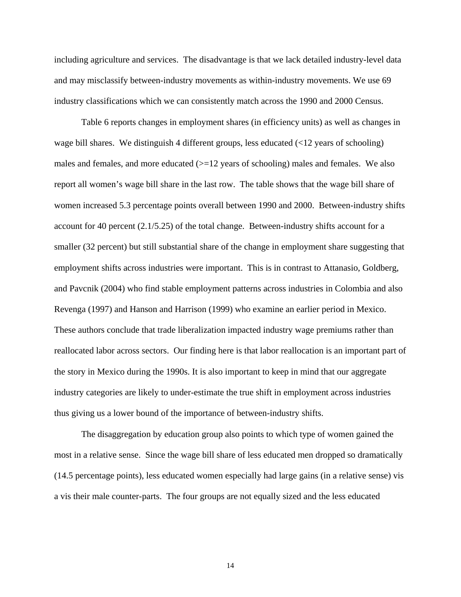including agriculture and services. The disadvantage is that we lack detailed industry-level data and may misclassify between-industry movements as within-industry movements. We use 69 industry classifications which we can consistently match across the 1990 and 2000 Census.

Table 6 reports changes in employment shares (in efficiency units) as well as changes in wage bill shares. We distinguish 4 different groups, less educated  $\left( \langle 12 \rangle \right)$  years of schooling) males and females, and more educated  $(>=12$  years of schooling) males and females. We also report all women's wage bill share in the last row. The table shows that the wage bill share of women increased 5.3 percentage points overall between 1990 and 2000. Between-industry shifts account for 40 percent (2.1/5.25) of the total change. Between-industry shifts account for a smaller (32 percent) but still substantial share of the change in employment share suggesting that employment shifts across industries were important. This is in contrast to Attanasio, Goldberg, and Pavcnik (2004) who find stable employment patterns across industries in Colombia and also Revenga (1997) and Hanson and Harrison (1999) who examine an earlier period in Mexico. These authors conclude that trade liberalization impacted industry wage premiums rather than reallocated labor across sectors. Our finding here is that labor reallocation is an important part of the story in Mexico during the 1990s. It is also important to keep in mind that our aggregate industry categories are likely to under-estimate the true shift in employment across industries thus giving us a lower bound of the importance of between-industry shifts.

The disaggregation by education group also points to which type of women gained the most in a relative sense. Since the wage bill share of less educated men dropped so dramatically (14.5 percentage points), less educated women especially had large gains (in a relative sense) vis a vis their male counter-parts. The four groups are not equally sized and the less educated

14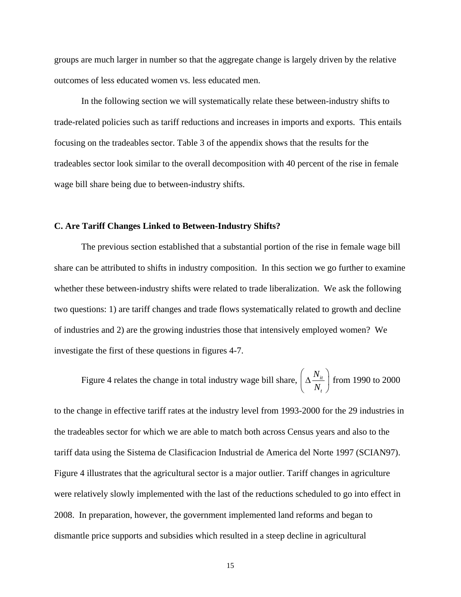groups are much larger in number so that the aggregate change is largely driven by the relative outcomes of less educated women vs. less educated men.

In the following section we will systematically relate these between-industry shifts to trade-related policies such as tariff reductions and increases in imports and exports. This entails focusing on the tradeables sector. Table 3 of the appendix shows that the results for the tradeables sector look similar to the overall decomposition with 40 percent of the rise in female wage bill share being due to between-industry shifts.

### **C. Are Tariff Changes Linked to Between-Industry Shifts?**

The previous section established that a substantial portion of the rise in female wage bill share can be attributed to shifts in industry composition. In this section we go further to examine whether these between-industry shifts were related to trade liberalization. We ask the following two questions: 1) are tariff changes and trade flows systematically related to growth and decline of industries and 2) are the growing industries those that intensively employed women? We investigate the first of these questions in figures 4-7.

Figure 4 relates the change in total industry wage bill share,  $\frac{\Delta V_{ti}}{\Delta V_{ti}}$ *t N*  $\left(\Delta \frac{N_{_{it}}}{N_{_{t}}}\right)$  $\left(\begin{array}{cc} N_t \end{array}\right)$ from 1990 to 2000

to the change in effective tariff rates at the industry level from 1993-2000 for the 29 industries in the tradeables sector for which we are able to match both across Census years and also to the tariff data using the Sistema de Clasificacion Industrial de America del Norte 1997 (SCIAN97). Figure 4 illustrates that the agricultural sector is a major outlier. Tariff changes in agriculture were relatively slowly implemented with the last of the reductions scheduled to go into effect in 2008. In preparation, however, the government implemented land reforms and began to dismantle price supports and subsidies which resulted in a steep decline in agricultural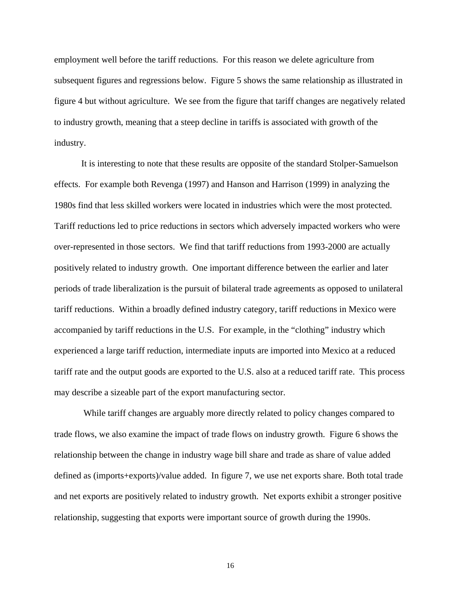employment well before the tariff reductions. For this reason we delete agriculture from subsequent figures and regressions below. Figure 5 shows the same relationship as illustrated in figure 4 but without agriculture. We see from the figure that tariff changes are negatively related to industry growth, meaning that a steep decline in tariffs is associated with growth of the industry.

It is interesting to note that these results are opposite of the standard Stolper-Samuelson effects. For example both Revenga (1997) and Hanson and Harrison (1999) in analyzing the 1980s find that less skilled workers were located in industries which were the most protected. Tariff reductions led to price reductions in sectors which adversely impacted workers who were over-represented in those sectors. We find that tariff reductions from 1993-2000 are actually positively related to industry growth. One important difference between the earlier and later periods of trade liberalization is the pursuit of bilateral trade agreements as opposed to unilateral tariff reductions. Within a broadly defined industry category, tariff reductions in Mexico were accompanied by tariff reductions in the U.S. For example, in the "clothing" industry which experienced a large tariff reduction, intermediate inputs are imported into Mexico at a reduced tariff rate and the output goods are exported to the U.S. also at a reduced tariff rate. This process may describe a sizeable part of the export manufacturing sector.

 While tariff changes are arguably more directly related to policy changes compared to trade flows, we also examine the impact of trade flows on industry growth. Figure 6 shows the relationship between the change in industry wage bill share and trade as share of value added defined as (imports+exports)/value added. In figure 7, we use net exports share. Both total trade and net exports are positively related to industry growth. Net exports exhibit a stronger positive relationship, suggesting that exports were important source of growth during the 1990s.

16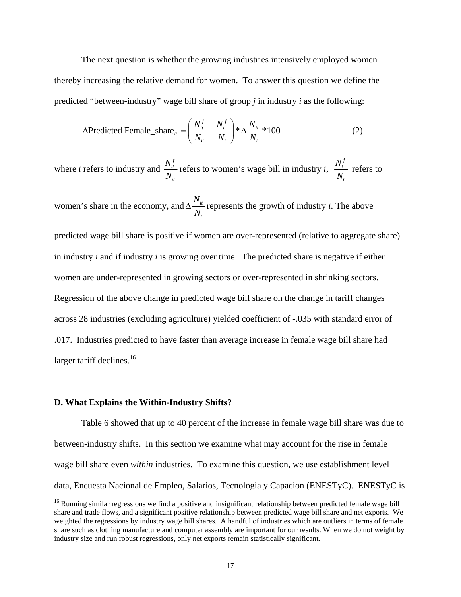The next question is whether the growing industries intensively employed women thereby increasing the relative demand for women. To answer this question we define the predicted "between-industry" wage bill share of group *j* in industry *i* as the following:

$$
\Delta \text{Predicted Female\_share}_{it} = \left(\frac{N_{it}^f}{N_{it}} - \frac{N_t^f}{N_t}\right) * \Delta \frac{N_{it}}{N_t} * 100 \tag{2}
$$

where *i* refers to industry and *f it it N*  $\frac{N_{it}}{N_{it}}$  refers to women's wage bill in industry *i*, *f t t N N* refers to

women's share in the economy, and  $\Delta \frac{N_{ti}}{N_{ti}}$ *t N N*  $\Delta \frac{N_i}{N}$  represents the growth of industry *i*. The above

predicted wage bill share is positive if women are over-represented (relative to aggregate share) in industry *i* and if industry *i* is growing over time. The predicted share is negative if either women are under-represented in growing sectors or over-represented in shrinking sectors. Regression of the above change in predicted wage bill share on the change in tariff changes across 28 industries (excluding agriculture) yielded coefficient of -.035 with standard error of .017. Industries predicted to have faster than average increase in female wage bill share had larger tariff declines. $16$ 

### **D. What Explains the Within-Industry Shifts?**

 $\overline{a}$ 

Table 6 showed that up to 40 percent of the increase in female wage bill share was due to between-industry shifts. In this section we examine what may account for the rise in female wage bill share even *within* industries. To examine this question, we use establishment level data, Encuesta Nacional de Empleo, Salarios, Tecnologia y Capacion (ENESTyC). ENESTyC is

<sup>&</sup>lt;sup>16</sup> Running similar regressions we find a positive and insignificant relationship between predicted female wage bill share and trade flows, and a significant positive relationship between predicted wage bill share and net exports. We weighted the regressions by industry wage bill shares. A handful of industries which are outliers in terms of female share such as clothing manufacture and computer assembly are important for our results. When we do not weight by industry size and run robust regressions, only net exports remain statistically significant.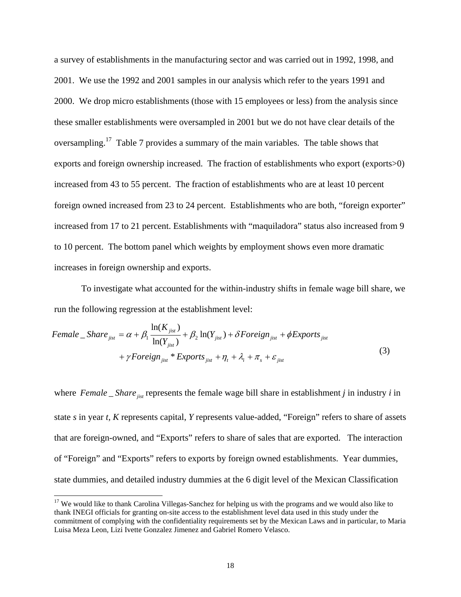a survey of establishments in the manufacturing sector and was carried out in 1992, 1998, and 2001. We use the 1992 and 2001 samples in our analysis which refer to the years 1991 and 2000. We drop micro establishments (those with 15 employees or less) from the analysis since these smaller establishments were oversampled in 2001 but we do not have clear details of the oversampling.<sup>17</sup> Table 7 provides a summary of the main variables. The table shows that exports and foreign ownership increased. The fraction of establishments who export (exports>0) increased from 43 to 55 percent. The fraction of establishments who are at least 10 percent foreign owned increased from 23 to 24 percent. Establishments who are both, "foreign exporter" increased from 17 to 21 percent. Establishments with "maquiladora" status also increased from 9 to 10 percent. The bottom panel which weights by employment shows even more dramatic increases in foreign ownership and exports.

 To investigate what accounted for the within-industry shifts in female wage bill share, we run the following regression at the establishment level:

$$
Female\_Share_{jist} = \alpha + \beta_1 \frac{\ln(K_{jist})}{\ln(Y_{jist})} + \beta_2 \ln(Y_{jist}) + \delta Foreign_{jist} + \phi Exports_{jist} + \gamma Foreign_{jist} * Exports_{jist} + \eta_t + \lambda_i + \pi_s + \varepsilon_{jist}
$$
\n(3)

where  $Female\_Share_{i}$  represents the female wage bill share in establishment *j* in industry *i* in state *s* in year *t, K* represents capital, *Y* represents value-added, "Foreign" refers to share of assets that are foreign-owned, and "Exports" refers to share of sales that are exported. The interaction of "Foreign" and "Exports" refers to exports by foreign owned establishments. Year dummies, state dummies, and detailed industry dummies at the 6 digit level of the Mexican Classification

 $\overline{a}$ 

<sup>&</sup>lt;sup>17</sup> We would like to thank Carolina Villegas-Sanchez for helping us with the programs and we would also like to thank INEGI officials for granting on-site access to the establishment level data used in this study under the commitment of complying with the confidentiality requirements set by the Mexican Laws and in particular, to Maria Luisa Meza Leon, Lizi Ivette Gonzalez Jimenez and Gabriel Romero Velasco.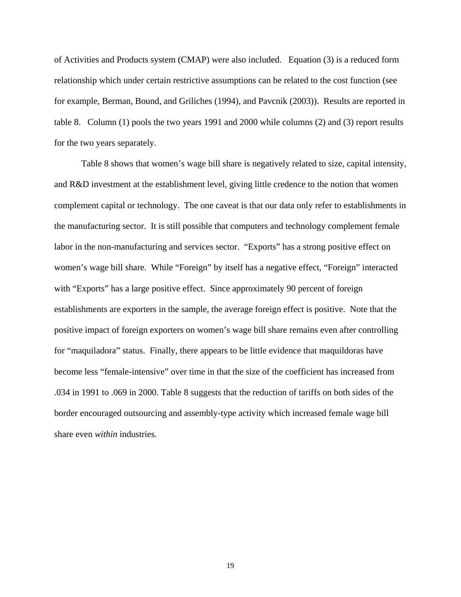of Activities and Products system (CMAP) were also included. Equation (3) is a reduced form relationship which under certain restrictive assumptions can be related to the cost function (see for example, Berman, Bound, and Griliches (1994), and Pavcnik (2003)). Results are reported in table 8. Column (1) pools the two years 1991 and 2000 while columns (2) and (3) report results for the two years separately.

 Table 8 shows that women's wage bill share is negatively related to size, capital intensity, and R&D investment at the establishment level, giving little credence to the notion that women complement capital or technology. The one caveat is that our data only refer to establishments in the manufacturing sector. It is still possible that computers and technology complement female labor in the non-manufacturing and services sector. "Exports" has a strong positive effect on women's wage bill share. While "Foreign" by itself has a negative effect, "Foreign" interacted with "Exports" has a large positive effect. Since approximately 90 percent of foreign establishments are exporters in the sample, the average foreign effect is positive. Note that the positive impact of foreign exporters on women's wage bill share remains even after controlling for "maquiladora" status. Finally, there appears to be little evidence that maquildoras have become less "female-intensive" over time in that the size of the coefficient has increased from .034 in 1991 to .069 in 2000. Table 8 suggests that the reduction of tariffs on both sides of the border encouraged outsourcing and assembly-type activity which increased female wage bill share even *within* industries.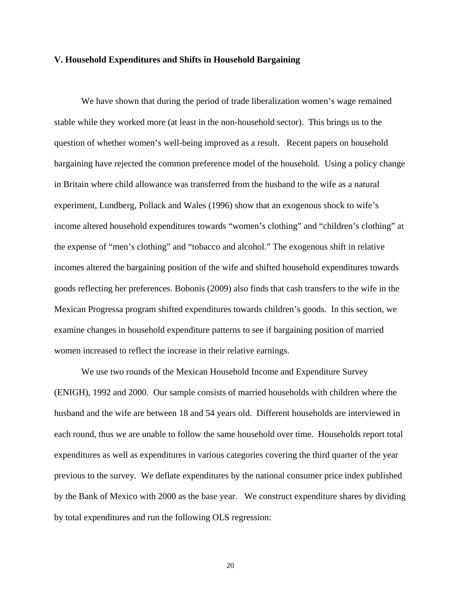#### **V. Household Expenditures and Shifts in Household Bargaining**

We have shown that during the period of trade liberalization women's wage remained stable while they worked more (at least in the non-household sector). This brings us to the question of whether women's well-being improved as a result. Recent papers on household bargaining have rejected the common preference model of the household. Using a policy change in Britain where child allowance was transferred from the husband to the wife as a natural experiment, Lundberg, Pollack and Wales (1996) show that an exogenous shock to wife's income altered household expenditures towards "women's clothing" and "children's clothing" at the expense of "men's clothing" and "tobacco and alcohol." The exogenous shift in relative incomes altered the bargaining position of the wife and shifted household expenditures towards goods reflecting her preferences. Bobonis (2009) also finds that cash transfers to the wife in the Mexican Progressa program shifted expenditures towards children's goods. In this section, we examine changes in household expenditure patterns to see if bargaining position of married women increased to reflect the increase in their relative earnings.

We use two rounds of the Mexican Household Income and Expenditure Survey (ENIGH), 1992 and 2000. Our sample consists of married households with children where the husband and the wife are between 18 and 54 years old. Different households are interviewed in each round, thus we are unable to follow the same household over time. Households report total expenditures as well as expenditures in various categories covering the third quarter of the year previous to the survey. We deflate expenditures by the national consumer price index published by the Bank of Mexico with 2000 as the base year. We construct expenditure shares by dividing by total expenditures and run the following OLS regression:

20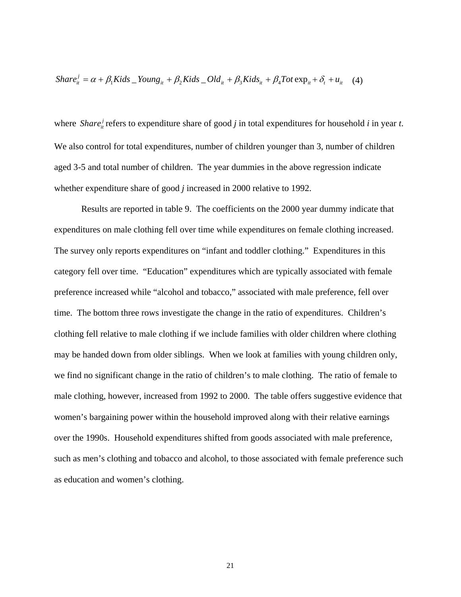$$
Share_{it}^{j} = \alpha + \beta_1 Kids \t_{1} Young_{it} + \beta_2 Kids \t_{1} Old_{it} + \beta_3 Kids_{it} + \beta_4 Tot \exp_{it} + \delta_t + u_{it} \tag{4}
$$

where *Share*<sup>*i*</sup><sub>*it*</sub> refers to expenditure share of good *j* in total expenditures for household *i* in year *t*. We also control for total expenditures, number of children younger than 3, number of children aged 3-5 and total number of children. The year dummies in the above regression indicate whether expenditure share of good *j* increased in 2000 relative to 1992.

Results are reported in table 9. The coefficients on the 2000 year dummy indicate that expenditures on male clothing fell over time while expenditures on female clothing increased. The survey only reports expenditures on "infant and toddler clothing." Expenditures in this category fell over time. "Education" expenditures which are typically associated with female preference increased while "alcohol and tobacco," associated with male preference, fell over time. The bottom three rows investigate the change in the ratio of expenditures. Children's clothing fell relative to male clothing if we include families with older children where clothing may be handed down from older siblings. When we look at families with young children only, we find no significant change in the ratio of children's to male clothing. The ratio of female to male clothing, however, increased from 1992 to 2000. The table offers suggestive evidence that women's bargaining power within the household improved along with their relative earnings over the 1990s. Household expenditures shifted from goods associated with male preference, such as men's clothing and tobacco and alcohol, to those associated with female preference such as education and women's clothing.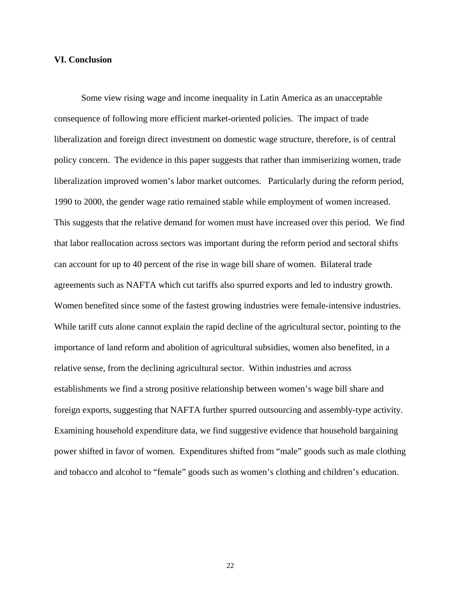### **VI. Conclusion**

Some view rising wage and income inequality in Latin America as an unacceptable consequence of following more efficient market-oriented policies. The impact of trade liberalization and foreign direct investment on domestic wage structure, therefore, is of central policy concern. The evidence in this paper suggests that rather than immiserizing women, trade liberalization improved women's labor market outcomes. Particularly during the reform period, 1990 to 2000, the gender wage ratio remained stable while employment of women increased. This suggests that the relative demand for women must have increased over this period. We find that labor reallocation across sectors was important during the reform period and sectoral shifts can account for up to 40 percent of the rise in wage bill share of women. Bilateral trade agreements such as NAFTA which cut tariffs also spurred exports and led to industry growth. Women benefited since some of the fastest growing industries were female-intensive industries. While tariff cuts alone cannot explain the rapid decline of the agricultural sector, pointing to the importance of land reform and abolition of agricultural subsidies, women also benefited, in a relative sense, from the declining agricultural sector. Within industries and across establishments we find a strong positive relationship between women's wage bill share and foreign exports, suggesting that NAFTA further spurred outsourcing and assembly-type activity. Examining household expenditure data, we find suggestive evidence that household bargaining power shifted in favor of women. Expenditures shifted from "male" goods such as male clothing and tobacco and alcohol to "female" goods such as women's clothing and children's education.

22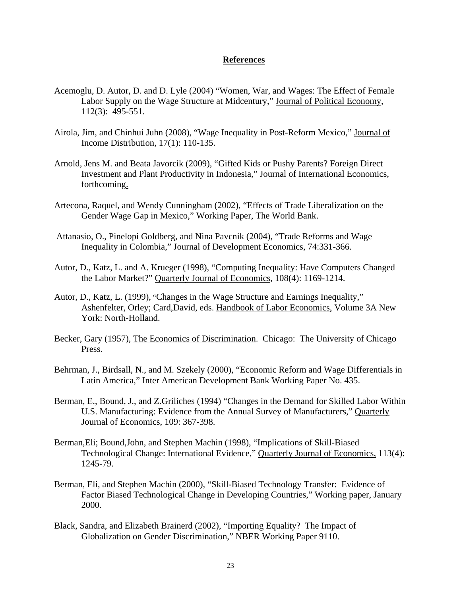# **References**

- Acemoglu, D. Autor, D. and D. Lyle (2004) "Women, War, and Wages: The Effect of Female Labor Supply on the Wage Structure at Midcentury," Journal of Political Economy, 112(3): 495-551.
- Airola, Jim, and Chinhui Juhn (2008), "Wage Inequality in Post-Reform Mexico," Journal of Income Distribution, 17(1): 110-135.
- Arnold, Jens M. and Beata Javorcik (2009), "Gifted Kids or Pushy Parents? Foreign Direct Investment and Plant Productivity in Indonesia," Journal of International Economics, forthcoming.
- Artecona, Raquel, and Wendy Cunningham (2002), "Effects of Trade Liberalization on the Gender Wage Gap in Mexico," Working Paper, The World Bank.
- Attanasio, O., Pinelopi Goldberg, and Nina Pavcnik (2004), "Trade Reforms and Wage Inequality in Colombia," Journal of Development Economics, 74:331-366.
- Autor, D., Katz, L. and A. Krueger (1998), "Computing Inequality: Have Computers Changed the Labor Market?" Quarterly Journal of Economics, 108(4): 1169-1214.
- Autor, D., Katz, L. (1999), "Changes in the Wage Structure and Earnings Inequality," Ashenfelter, Orley; Card,David, eds. Handbook of Labor Economics, Volume 3A New York: North-Holland.
- Becker, Gary (1957), The Economics of Discrimination. Chicago: The University of Chicago Press.
- Behrman, J., Birdsall, N., and M. Szekely (2000), "Economic Reform and Wage Differentials in Latin America," Inter American Development Bank Working Paper No. 435.
- Berman, E., Bound, J., and Z.Griliches (1994) "Changes in the Demand for Skilled Labor Within U.S. Manufacturing: Evidence from the Annual Survey of Manufacturers," Quarterly Journal of Economics, 109: 367-398.
- Berman,Eli; Bound,John, and Stephen Machin (1998), "Implications of Skill-Biased Technological Change: International Evidence," Quarterly Journal of Economics, 113(4): 1245-79.
- Berman, Eli, and Stephen Machin (2000), "Skill-Biased Technology Transfer: Evidence of Factor Biased Technological Change in Developing Countries," Working paper, January 2000.
- Black, Sandra, and Elizabeth Brainerd (2002), "Importing Equality? The Impact of Globalization on Gender Discrimination," NBER Working Paper 9110.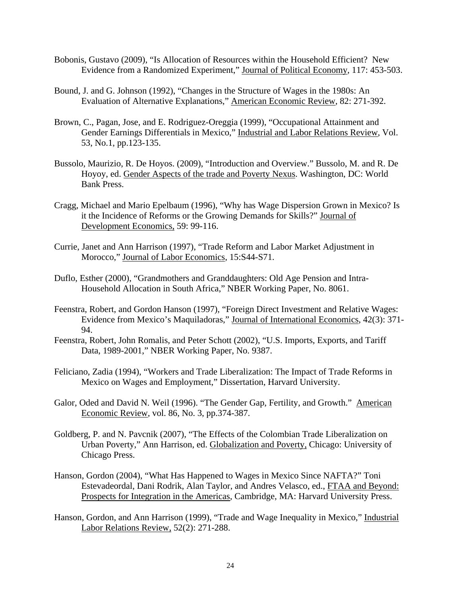- Bobonis, Gustavo (2009), "Is Allocation of Resources within the Household Efficient? New Evidence from a Randomized Experiment," Journal of Political Economy, 117: 453-503.
- Bound, J. and G. Johnson (1992), "Changes in the Structure of Wages in the 1980s: An Evaluation of Alternative Explanations," American Economic Review, 82: 271-392.
- Brown, C., Pagan, Jose, and E. Rodriguez-Oreggia (1999), "Occupational Attainment and Gender Earnings Differentials in Mexico," Industrial and Labor Relations Review, Vol. 53, No.1, pp.123-135.
- Bussolo, Maurizio, R. De Hoyos. (2009), "Introduction and Overview." Bussolo, M. and R. De Hoyoy, ed. Gender Aspects of the trade and Poverty Nexus. Washington, DC: World Bank Press.
- Cragg, Michael and Mario Epelbaum (1996), "Why has Wage Dispersion Grown in Mexico? Is it the Incidence of Reforms or the Growing Demands for Skills?" Journal of Development Economics, 59: 99-116.
- Currie, Janet and Ann Harrison (1997), "Trade Reform and Labor Market Adjustment in Morocco," Journal of Labor Economics, 15:S44-S71.
- Duflo, Esther (2000), "Grandmothers and Granddaughters: Old Age Pension and Intra-Household Allocation in South Africa," NBER Working Paper, No. 8061.
- Feenstra, Robert, and Gordon Hanson (1997), "Foreign Direct Investment and Relative Wages: Evidence from Mexico's Maquiladoras," Journal of International Economics, 42(3): 371- 94.
- Feenstra, Robert, John Romalis, and Peter Schott (2002), "U.S. Imports, Exports, and Tariff Data, 1989-2001," NBER Working Paper, No. 9387.
- Feliciano, Zadia (1994), "Workers and Trade Liberalization: The Impact of Trade Reforms in Mexico on Wages and Employment," Dissertation, Harvard University.
- Galor, Oded and David N. Weil (1996). "The Gender Gap, Fertility, and Growth." American Economic Review, vol. 86, No. 3, pp.374-387.
- Goldberg, P. and N. Pavcnik (2007), "The Effects of the Colombian Trade Liberalization on Urban Poverty," Ann Harrison, ed. Globalization and Poverty, Chicago: University of Chicago Press.
- Hanson, Gordon (2004), "What Has Happened to Wages in Mexico Since NAFTA?" Toni Estevadeordal, Dani Rodrik, Alan Taylor, and Andres Velasco, ed., FTAA and Beyond: Prospects for Integration in the Americas, Cambridge, MA: Harvard University Press.
- Hanson, Gordon, and Ann Harrison (1999), "Trade and Wage Inequality in Mexico," Industrial Labor Relations Review, 52(2): 271-288.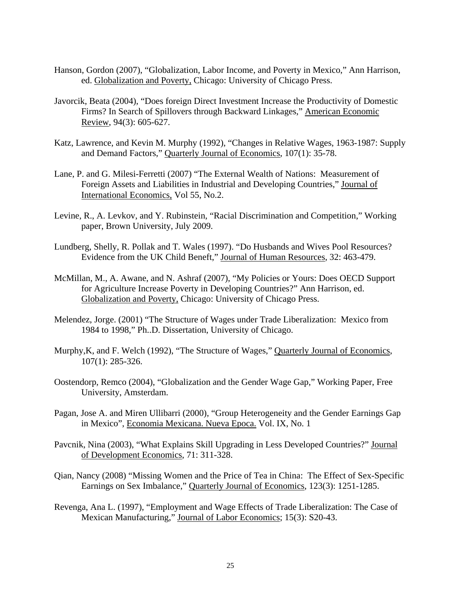- Hanson, Gordon (2007), "Globalization, Labor Income, and Poverty in Mexico," Ann Harrison, ed. Globalization and Poverty, Chicago: University of Chicago Press.
- Javorcik, Beata (2004), "Does foreign Direct Investment Increase the Productivity of Domestic Firms? In Search of Spillovers through Backward Linkages," American Economic Review, 94(3): 605-627.
- Katz, Lawrence, and Kevin M. Murphy (1992), "Changes in Relative Wages, 1963-1987: Supply and Demand Factors," Quarterly Journal of Economics, 107(1): 35-78.
- Lane, P. and G. Milesi-Ferretti (2007) "The External Wealth of Nations: Measurement of Foreign Assets and Liabilities in Industrial and Developing Countries," Journal of International Economics, Vol 55, No.2.
- Levine, R., A. Levkov, and Y. Rubinstein, "Racial Discrimination and Competition," Working paper, Brown University, July 2009.
- Lundberg, Shelly, R. Pollak and T. Wales (1997). "Do Husbands and Wives Pool Resources? Evidence from the UK Child Beneft," Journal of Human Resources, 32: 463-479.
- McMillan, M., A. Awane, and N. Ashraf (2007), "My Policies or Yours: Does OECD Support for Agriculture Increase Poverty in Developing Countries?" Ann Harrison, ed. Globalization and Poverty, Chicago: University of Chicago Press.
- Melendez, Jorge. (2001) "The Structure of Wages under Trade Liberalization: Mexico from 1984 to 1998," Ph..D. Dissertation, University of Chicago.
- Murphy, K, and F. Welch (1992), "The Structure of Wages," Quarterly Journal of Economics, 107(1): 285-326.
- Oostendorp, Remco (2004), "Globalization and the Gender Wage Gap," Working Paper, Free University, Amsterdam.
- Pagan, Jose A. and Miren Ullibarri (2000), "Group Heterogeneity and the Gender Earnings Gap in Mexico", Economia Mexicana. Nueva Epoca. Vol. IX, No. 1
- Pavcnik, Nina (2003), "What Explains Skill Upgrading in Less Developed Countries?" Journal of Development Economics, 71: 311-328.
- Qian, Nancy (2008) "Missing Women and the Price of Tea in China: The Effect of Sex-Specific Earnings on Sex Imbalance," Quarterly Journal of Economics, 123(3): 1251-1285.
- Revenga, Ana L. (1997), "Employment and Wage Effects of Trade Liberalization: The Case of Mexican Manufacturing," Journal of Labor Economics; 15(3): S20-43.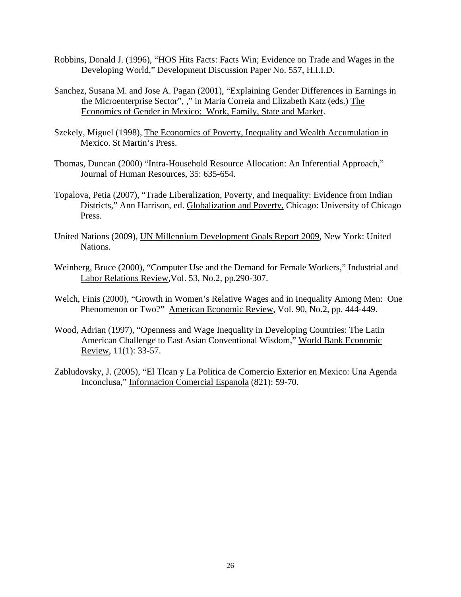- Robbins, Donald J. (1996), "HOS Hits Facts: Facts Win; Evidence on Trade and Wages in the Developing World," Development Discussion Paper No. 557, H.I.I.D.
- Sanchez, Susana M. and Jose A. Pagan (2001), "Explaining Gender Differences in Earnings in the Microenterprise Sector", ," in Maria Correia and Elizabeth Katz (eds.) The Economics of Gender in Mexico: Work, Family, State and Market.
- Szekely, Miguel (1998), The Economics of Poverty, Inequality and Wealth Accumulation in Mexico. St Martin's Press.
- Thomas, Duncan (2000) "Intra-Household Resource Allocation: An Inferential Approach," Journal of Human Resources, 35: 635-654.
- Topalova, Petia (2007), "Trade Liberalization, Poverty, and Inequality: Evidence from Indian Districts," Ann Harrison, ed. Globalization and Poverty, Chicago: University of Chicago Press.
- United Nations (2009), UN Millennium Development Goals Report 2009, New York: United Nations.
- Weinberg, Bruce (2000), "Computer Use and the Demand for Female Workers," Industrial and Labor Relations Review,Vol. 53, No.2, pp.290-307.
- Welch, Finis (2000), "Growth in Women's Relative Wages and in Inequality Among Men: One Phenomenon or Two?" American Economic Review, Vol. 90, No.2, pp. 444-449.
- Wood, Adrian (1997), "Openness and Wage Inequality in Developing Countries: The Latin American Challenge to East Asian Conventional Wisdom," World Bank Economic Review, 11(1): 33-57.
- Zabludovsky, J. (2005), "El Tlcan y La Politica de Comercio Exterior en Mexico: Una Agenda Inconclusa," Informacion Comercial Espanola (821): 59-70.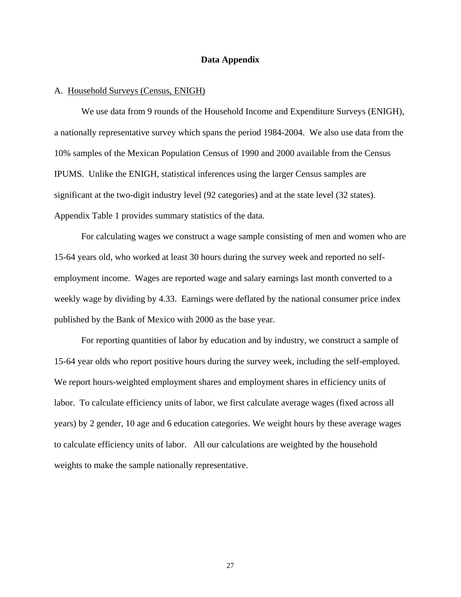## **Data Appendix**

### A. Household Surveys (Census, ENIGH)

We use data from 9 rounds of the Household Income and Expenditure Surveys (ENIGH), a nationally representative survey which spans the period 1984-2004. We also use data from the 10% samples of the Mexican Population Census of 1990 and 2000 available from the Census IPUMS. Unlike the ENIGH, statistical inferences using the larger Census samples are significant at the two-digit industry level (92 categories) and at the state level (32 states). Appendix Table 1 provides summary statistics of the data.

For calculating wages we construct a wage sample consisting of men and women who are 15-64 years old, who worked at least 30 hours during the survey week and reported no selfemployment income. Wages are reported wage and salary earnings last month converted to a weekly wage by dividing by 4.33. Earnings were deflated by the national consumer price index published by the Bank of Mexico with 2000 as the base year.

For reporting quantities of labor by education and by industry, we construct a sample of 15-64 year olds who report positive hours during the survey week, including the self-employed. We report hours-weighted employment shares and employment shares in efficiency units of labor. To calculate efficiency units of labor, we first calculate average wages (fixed across all years) by 2 gender, 10 age and 6 education categories. We weight hours by these average wages to calculate efficiency units of labor. All our calculations are weighted by the household weights to make the sample nationally representative.

27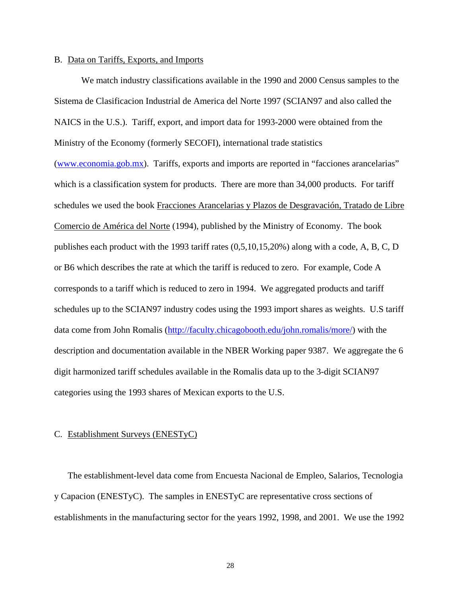#### B. Data on Tariffs, Exports, and Imports

We match industry classifications available in the 1990 and 2000 Census samples to the Sistema de Clasificacion Industrial de America del Norte 1997 (SCIAN97 and also called the NAICS in the U.S.). Tariff, export, and import data for 1993-2000 were obtained from the Ministry of the Economy (formerly SECOFI), international trade statistics (www.economia.gob.mx). Tariffs, exports and imports are reported in "facciones arancelarias" which is a classification system for products. There are more than  $34,000$  products. For tariff schedules we used the book Fracciones Arancelarias y Plazos de Desgravación, Tratado de Libre Comercio de América del Norte (1994), published by the Ministry of Economy. The book publishes each product with the 1993 tariff rates (0,5,10,15,20%) along with a code, A, B, C, D or B6 which describes the rate at which the tariff is reduced to zero. For example, Code A corresponds to a tariff which is reduced to zero in 1994. We aggregated products and tariff schedules up to the SCIAN97 industry codes using the 1993 import shares as weights. U.S tariff data come from John Romalis (http://faculty.chicagobooth.edu/john.romalis/more/) with the description and documentation available in the NBER Working paper 9387. We aggregate the 6 digit harmonized tariff schedules available in the Romalis data up to the 3-digit SCIAN97 categories using the 1993 shares of Mexican exports to the U.S.

#### C. Establishment Surveys (ENESTyC)

The establishment-level data come from Encuesta Nacional de Empleo, Salarios, Tecnologia y Capacion (ENESTyC). The samples in ENESTyC are representative cross sections of establishments in the manufacturing sector for the years 1992, 1998, and 2001. We use the 1992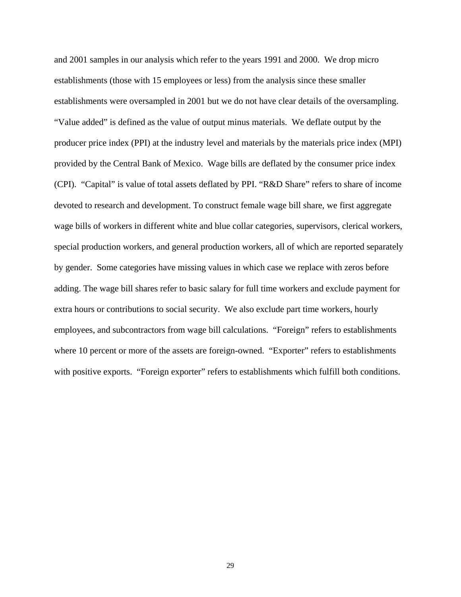and 2001 samples in our analysis which refer to the years 1991 and 2000. We drop micro establishments (those with 15 employees or less) from the analysis since these smaller establishments were oversampled in 2001 but we do not have clear details of the oversampling. "Value added" is defined as the value of output minus materials. We deflate output by the producer price index (PPI) at the industry level and materials by the materials price index (MPI) provided by the Central Bank of Mexico. Wage bills are deflated by the consumer price index (CPI). "Capital" is value of total assets deflated by PPI. "R&D Share" refers to share of income devoted to research and development. To construct female wage bill share, we first aggregate wage bills of workers in different white and blue collar categories, supervisors, clerical workers, special production workers, and general production workers, all of which are reported separately by gender. Some categories have missing values in which case we replace with zeros before adding. The wage bill shares refer to basic salary for full time workers and exclude payment for extra hours or contributions to social security. We also exclude part time workers, hourly employees, and subcontractors from wage bill calculations. "Foreign" refers to establishments where 10 percent or more of the assets are foreign-owned. "Exporter" refers to establishments with positive exports. "Foreign exporter" refers to establishments which fulfill both conditions.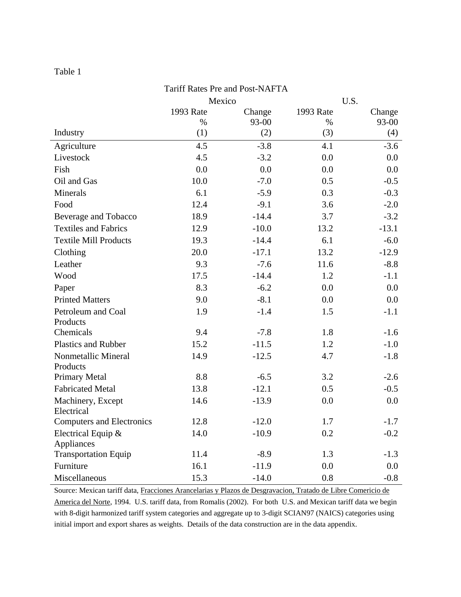| Tariff Rates Pre and Post-NAFTA  |                |         |           |         |  |  |  |  |  |
|----------------------------------|----------------|---------|-----------|---------|--|--|--|--|--|
|                                  | U.S.<br>Mexico |         |           |         |  |  |  |  |  |
|                                  | 1993 Rate      | Change  | 1993 Rate | Change  |  |  |  |  |  |
|                                  | $\%$           | 93-00   | $\%$      | 93-00   |  |  |  |  |  |
| Industry                         | (1)            | (2)     | (3)       | (4)     |  |  |  |  |  |
| Agriculture                      | 4.5            | $-3.8$  | 4.1       | $-3.6$  |  |  |  |  |  |
| Livestock                        | 4.5            | $-3.2$  | 0.0       | 0.0     |  |  |  |  |  |
| Fish                             | 0.0            | 0.0     | 0.0       | 0.0     |  |  |  |  |  |
| Oil and Gas                      | 10.0           | $-7.0$  | 0.5       | $-0.5$  |  |  |  |  |  |
| Minerals                         | 6.1            | $-5.9$  | 0.3       | $-0.3$  |  |  |  |  |  |
| Food                             | 12.4           | $-9.1$  | 3.6       | $-2.0$  |  |  |  |  |  |
| Beverage and Tobacco             | 18.9           | $-14.4$ | 3.7       | $-3.2$  |  |  |  |  |  |
| <b>Textiles and Fabrics</b>      | 12.9           | $-10.0$ | 13.2      | $-13.1$ |  |  |  |  |  |
| <b>Textile Mill Products</b>     | 19.3           | $-14.4$ | 6.1       | $-6.0$  |  |  |  |  |  |
| Clothing                         | 20.0           | $-17.1$ | 13.2      | $-12.9$ |  |  |  |  |  |
| Leather                          | 9.3            | $-7.6$  | 11.6      | $-8.8$  |  |  |  |  |  |
| Wood                             | 17.5           | $-14.4$ | 1.2       | $-1.1$  |  |  |  |  |  |
| Paper                            | 8.3            | $-6.2$  | 0.0       | 0.0     |  |  |  |  |  |
| <b>Printed Matters</b>           | 9.0            | $-8.1$  | 0.0       | $0.0\,$ |  |  |  |  |  |
| Petroleum and Coal               | 1.9            | $-1.4$  | 1.5       | $-1.1$  |  |  |  |  |  |
| Products                         |                |         |           |         |  |  |  |  |  |
| Chemicals                        | 9.4            | $-7.8$  | 1.8       | $-1.6$  |  |  |  |  |  |
| <b>Plastics and Rubber</b>       | 15.2           | $-11.5$ | 1.2       | $-1.0$  |  |  |  |  |  |
| Nonmetallic Mineral              | 14.9           | $-12.5$ | 4.7       | $-1.8$  |  |  |  |  |  |
| Products                         |                |         |           |         |  |  |  |  |  |
| Primary Metal                    | 8.8            | $-6.5$  | 3.2       | $-2.6$  |  |  |  |  |  |
| <b>Fabricated Metal</b>          | 13.8           | $-12.1$ | 0.5       | $-0.5$  |  |  |  |  |  |
| Machinery, Except                | 14.6           | $-13.9$ | 0.0       | 0.0     |  |  |  |  |  |
| Electrical                       |                |         |           |         |  |  |  |  |  |
| <b>Computers and Electronics</b> | 12.8           | $-12.0$ | 1.7       | $-1.7$  |  |  |  |  |  |
| Electrical Equip &<br>Appliances | 14.0           | $-10.9$ | 0.2       | $-0.2$  |  |  |  |  |  |
| <b>Transportation Equip</b>      | 11.4           | $-8.9$  | 1.3       | $-1.3$  |  |  |  |  |  |
| Furniture                        | 16.1           | $-11.9$ | 0.0       | 0.0     |  |  |  |  |  |
| Miscellaneous                    | 15.3           | $-14.0$ | 0.8       | $-0.8$  |  |  |  |  |  |

Source: Mexican tariff data, Fracciones Arancelarias y Plazos de Desgravacion, Tratado de Libre Comericio de America del Norte, 1994. U.S. tariff data, from Romalis (2002). For both U.S. and Mexican tariff data we begin with 8-digit harmonized tariff system categories and aggregate up to 3-digit SCIAN97 (NAICS) categories using initial import and export shares as weights. Details of the data construction are in the data appendix.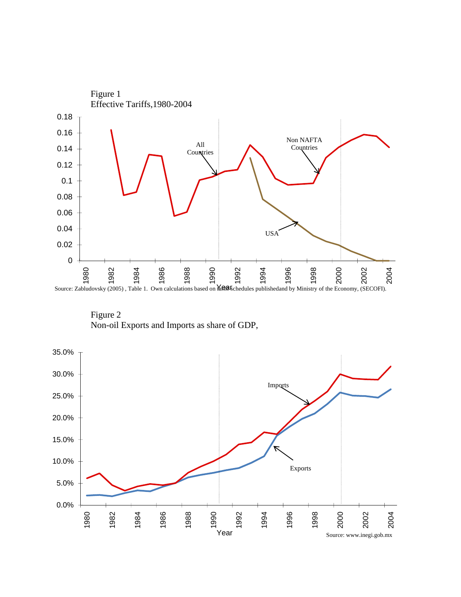

Figure 2 Non-oil Exports and Imports as share of GDP,

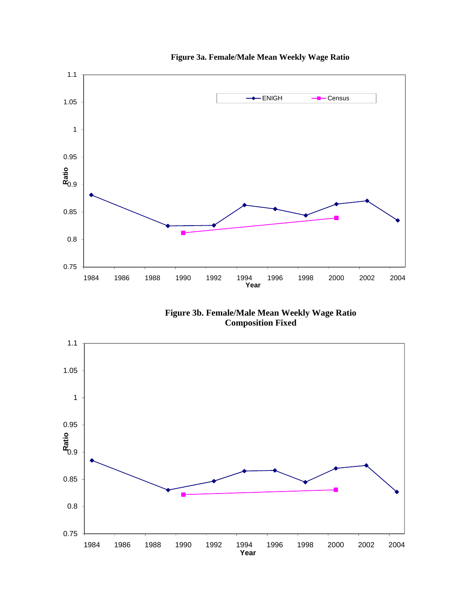

**Figure 3a. Female/Male Mean Weekly Wage Ratio**

**Figure 3b. Female/Male Mean Weekly Wage Ratio Composition Fixed**

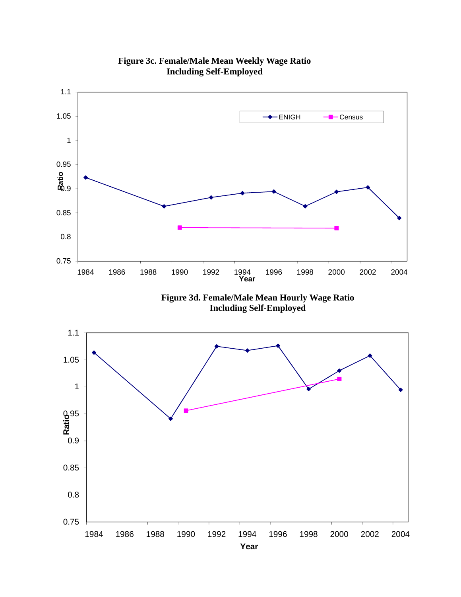

**Figure 3c. Female/Male Mean Weekly Wage Ratio Including Self-Employed**

**Year**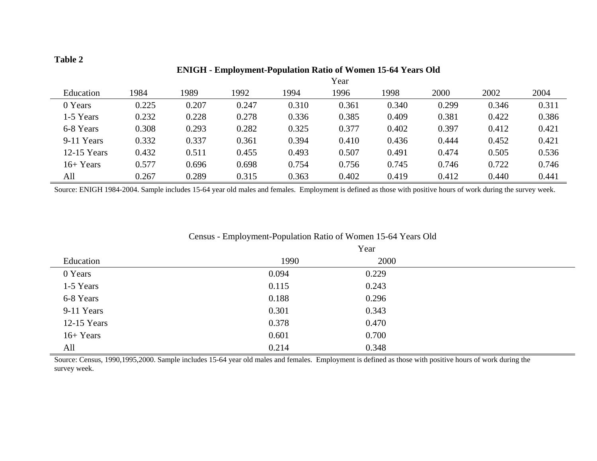÷

|               |       |       |       |       | Year  |       |       |       |       |
|---------------|-------|-------|-------|-------|-------|-------|-------|-------|-------|
| Education     | 1984  | 1989  | 1992  | 1994  | 1996  | 1998  | 2000  | 2002  | 2004  |
| 0 Years       | 0.225 | 0.207 | 0.247 | 0.310 | 0.361 | 0.340 | 0.299 | 0.346 | 0.311 |
| 1-5 Years     | 0.232 | 0.228 | 0.278 | 0.336 | 0.385 | 0.409 | 0.381 | 0.422 | 0.386 |
| 6-8 Years     | 0.308 | 0.293 | 0.282 | 0.325 | 0.377 | 0.402 | 0.397 | 0.412 | 0.421 |
| 9-11 Years    | 0.332 | 0.337 | 0.361 | 0.394 | 0.410 | 0.436 | 0.444 | 0.452 | 0.421 |
| $12-15$ Years | 0.432 | 0.511 | 0.455 | 0.493 | 0.507 | 0.491 | 0.474 | 0.505 | 0.536 |
| $16+Years$    | 0.577 | 0.696 | 0.698 | 0.754 | 0.756 | 0.745 | 0.746 | 0.722 | 0.746 |
| All           | 0.267 | 0.289 | 0.315 | 0.363 | 0.402 | 0.419 | 0.412 | 0.440 | 0.441 |

# **ENIGH - Employment-Population Ratio of Women 15-64 Years Old**

Source: ENIGH 1984-2004. Sample includes 15-64 year old males and females. Employment is defined as those with positive hours of work during the survey week.

| Education     | 1990  | 2000  |  |
|---------------|-------|-------|--|
| 0 Years       | 0.094 | 0.229 |  |
| 1-5 Years     | 0.115 | 0.243 |  |
| 6-8 Years     | 0.188 | 0.296 |  |
| 9-11 Years    | 0.301 | 0.343 |  |
| $12-15$ Years | 0.378 | 0.470 |  |
| $16+Years$    | 0.601 | 0.700 |  |
| All           | 0.214 | 0.348 |  |

# Census - Employment-Population Ratio of Women 15-64 Years Old

Source: Census, 1990,1995,2000. Sample includes 15-64 year old males and females. Employment is defined as those with positive hours of work during the survey week.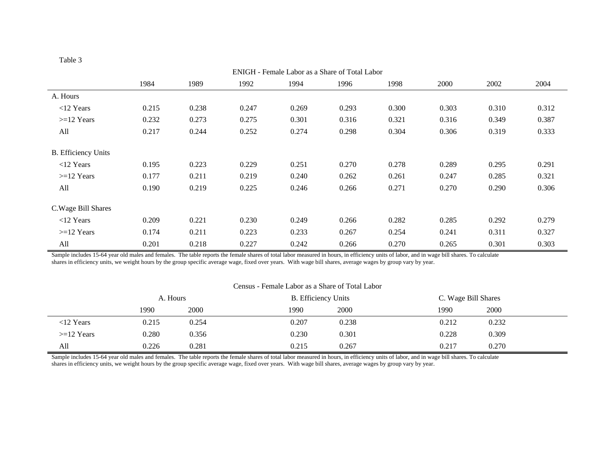| аη | ונ |  |
|----|----|--|
|    |    |  |

| ENIGH - Female Labor as a Share of Total Labor |       |       |       |       |       |       |       |       |       |  |
|------------------------------------------------|-------|-------|-------|-------|-------|-------|-------|-------|-------|--|
|                                                | 1984  | 1989  | 1992  | 1994  | 1996  | 1998  | 2000  | 2002  | 2004  |  |
| A. Hours                                       |       |       |       |       |       |       |       |       |       |  |
| $<$ 12 Years                                   | 0.215 | 0.238 | 0.247 | 0.269 | 0.293 | 0.300 | 0.303 | 0.310 | 0.312 |  |
| $>=12$ Years                                   | 0.232 | 0.273 | 0.275 | 0.301 | 0.316 | 0.321 | 0.316 | 0.349 | 0.387 |  |
| All                                            | 0.217 | 0.244 | 0.252 | 0.274 | 0.298 | 0.304 | 0.306 | 0.319 | 0.333 |  |
| <b>B.</b> Efficiency Units                     |       |       |       |       |       |       |       |       |       |  |
| $<$ 12 Years                                   | 0.195 | 0.223 | 0.229 | 0.251 | 0.270 | 0.278 | 0.289 | 0.295 | 0.291 |  |
| $>=12$ Years                                   | 0.177 | 0.211 | 0.219 | 0.240 | 0.262 | 0.261 | 0.247 | 0.285 | 0.321 |  |
| All                                            | 0.190 | 0.219 | 0.225 | 0.246 | 0.266 | 0.271 | 0.270 | 0.290 | 0.306 |  |
| C. Wage Bill Shares                            |       |       |       |       |       |       |       |       |       |  |
| $<$ 12 Years                                   | 0.209 | 0.221 | 0.230 | 0.249 | 0.266 | 0.282 | 0.285 | 0.292 | 0.279 |  |
| $>=12$ Years                                   | 0.174 | 0.211 | 0.223 | 0.233 | 0.267 | 0.254 | 0.241 | 0.311 | 0.327 |  |
| All                                            | 0.201 | 0.218 | 0.227 | 0.242 | 0.266 | 0.270 | 0.265 | 0.301 | 0.303 |  |

Sample includes 15-64 year old males and females. The table reports the female shares of total labor measured in hours, in efficiency units of labor, and in wage bill shares. To calculate shares in efficiency units, we weight hours by the group specific average wage, fixed over years. With wage bill shares, average wages by group vary by year.

#### Census - Female Labor as a Share of Total Labor

|              | A. Hours |       | <b>B.</b> Efficiency Units | C. Wage Bill Shares |
|--------------|----------|-------|----------------------------|---------------------|
|              | 1990     | 2000  | 2000<br>1990               | 2000<br>1990        |
| $<$ 12 Years | 0.215    | 0.254 | 0.207<br>0.238             | 0.212<br>0.232      |
| $>=12$ Years | 0.280    | 0.356 | 0.230<br>0.301             | 0.228<br>0.309      |
| All          | 0.226    | 0.281 | 0.215<br>0.267             | 0.217<br>0.270      |

Sample includes 15-64 year old males and females. The table reports the female shares of total labor measured in hours, in efficiency units of labor, and in wage bill shares. To calculate shares in efficiency units, we weight hours by the group specific average wage, fixed over years. With wage bill shares, average wages by group vary by year.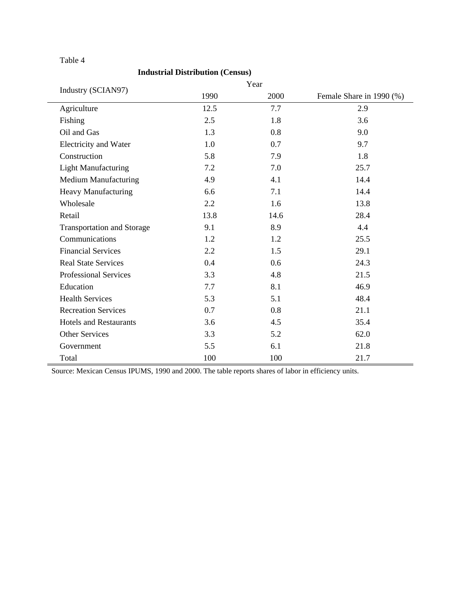# **Industrial Distribution (Census)**

|                                   |      | Year |                          |
|-----------------------------------|------|------|--------------------------|
| Industry (SCIAN97)                | 1990 | 2000 | Female Share in 1990 (%) |
| Agriculture                       | 12.5 | 7.7  | 2.9                      |
| Fishing                           | 2.5  | 1.8  | 3.6                      |
| Oil and Gas                       | 1.3  | 0.8  | 9.0                      |
| Electricity and Water             | 1.0  | 0.7  | 9.7                      |
| Construction                      | 5.8  | 7.9  | 1.8                      |
| <b>Light Manufacturing</b>        | 7.2  | 7.0  | 25.7                     |
| Medium Manufacturing              | 4.9  | 4.1  | 14.4                     |
| Heavy Manufacturing               | 6.6  | 7.1  | 14.4                     |
| Wholesale                         | 2.2  | 1.6  | 13.8                     |
| Retail                            | 13.8 | 14.6 | 28.4                     |
| <b>Transportation and Storage</b> | 9.1  | 8.9  | 4.4                      |
| Communications                    | 1.2  | 1.2  | 25.5                     |
| <b>Financial Services</b>         | 2.2  | 1.5  | 29.1                     |
| <b>Real State Services</b>        | 0.4  | 0.6  | 24.3                     |
| <b>Professional Services</b>      | 3.3  | 4.8  | 21.5                     |
| Education                         | 7.7  | 8.1  | 46.9                     |
| <b>Health Services</b>            | 5.3  | 5.1  | 48.4                     |
| <b>Recreation Services</b>        | 0.7  | 0.8  | 21.1                     |
| <b>Hotels and Restaurants</b>     | 3.6  | 4.5  | 35.4                     |
| <b>Other Services</b>             | 3.3  | 5.2  | 62.0                     |
| Government                        | 5.5  | 6.1  | 21.8                     |
| Total                             | 100  | 100  | 21.7                     |

Source: Mexican Census IPUMS, 1990 and 2000. The table reports shares of labor in efficiency units.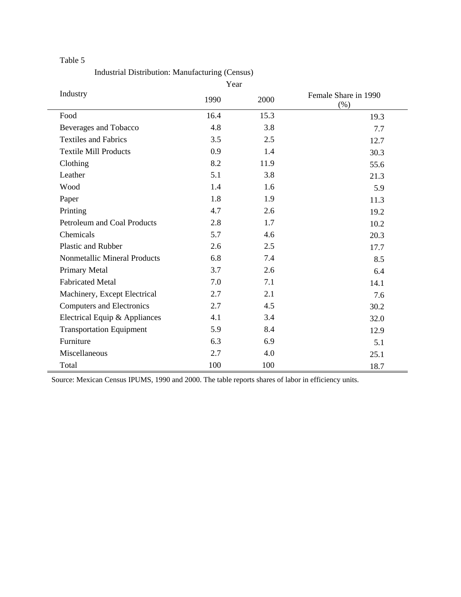Industrial Distribution: Manufacturing (Census)

|                                 | Year |      |                              |
|---------------------------------|------|------|------------------------------|
| Industry                        | 1990 | 2000 | Female Share in 1990<br>(% ) |
| Food                            | 16.4 | 15.3 | 19.3                         |
| Beverages and Tobacco           | 4.8  | 3.8  | 7.7                          |
| <b>Textiles and Fabrics</b>     | 3.5  | 2.5  | 12.7                         |
| <b>Textile Mill Products</b>    | 0.9  | 1.4  | 30.3                         |
| Clothing                        | 8.2  | 11.9 | 55.6                         |
| Leather                         | 5.1  | 3.8  | 21.3                         |
| Wood                            | 1.4  | 1.6  | 5.9                          |
| Paper                           | 1.8  | 1.9  | 11.3                         |
| Printing                        | 4.7  | 2.6  | 19.2                         |
| Petroleum and Coal Products     | 2.8  | 1.7  | 10.2                         |
| Chemicals                       | 5.7  | 4.6  | 20.3                         |
| Plastic and Rubber              | 2.6  | 2.5  | 17.7                         |
| Nonmetallic Mineral Products    | 6.8  | 7.4  | 8.5                          |
| Primary Metal                   | 3.7  | 2.6  | 6.4                          |
| <b>Fabricated Metal</b>         | 7.0  | 7.1  | 14.1                         |
| Machinery, Except Electrical    | 2.7  | 2.1  | 7.6                          |
| Computers and Electronics       | 2.7  | 4.5  | 30.2                         |
| Electrical Equip & Appliances   | 4.1  | 3.4  | 32.0                         |
| <b>Transportation Equipment</b> | 5.9  | 8.4  | 12.9                         |
| Furniture                       | 6.3  | 6.9  | 5.1                          |
| Miscellaneous                   | 2.7  | 4.0  | 25.1                         |
| Total                           | 100  | 100  | 18.7                         |

Source: Mexican Census IPUMS, 1990 and 2000. The table reports shares of labor in efficiency units.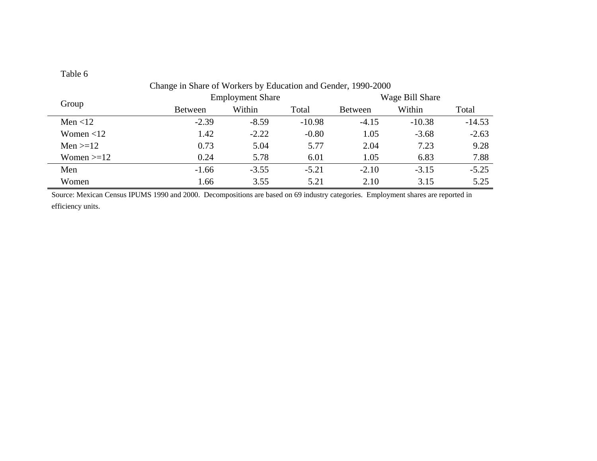| Change in Share of Workers by Education and Gender, 1990-2000 |                |                         |          |                |                 |          |  |  |  |  |  |  |
|---------------------------------------------------------------|----------------|-------------------------|----------|----------------|-----------------|----------|--|--|--|--|--|--|
| Group                                                         |                | <b>Employment Share</b> |          |                | Wage Bill Share |          |  |  |  |  |  |  |
|                                                               | <b>Between</b> | Within                  | Total    | <b>Between</b> | Within          | Total    |  |  |  |  |  |  |
| Men $<$ 12                                                    | $-2.39$        | $-8.59$                 | $-10.98$ | $-4.15$        | $-10.38$        | $-14.53$ |  |  |  |  |  |  |
| Women $<$ 12                                                  | 1.42           | $-2.22$                 | $-0.80$  | 1.05           | $-3.68$         | $-2.63$  |  |  |  |  |  |  |
| Men $>=12$                                                    | 0.73           | 5.04                    | 5.77     | 2.04           | 7.23            | 9.28     |  |  |  |  |  |  |
| Women $>=12$                                                  | 0.24           | 5.78                    | 6.01     | 1.05           | 6.83            | 7.88     |  |  |  |  |  |  |
| Men                                                           | $-1.66$        | $-3.55$                 | $-5.21$  | $-2.10$        | $-3.15$         | $-5.25$  |  |  |  |  |  |  |
| Women                                                         | 1.66           | 3.55                    | 5.21     | 2.10           | 3.15            | 5.25     |  |  |  |  |  |  |

Source: Mexican Census IPUMS 1990 and 2000. Decompositions are based on 69 industry categories. Employment shares are reported in efficiency units.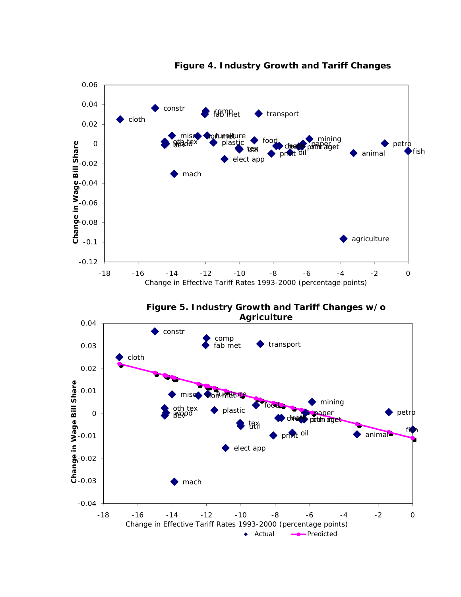

**Figure 4. Industry Growth and Tariff Changes**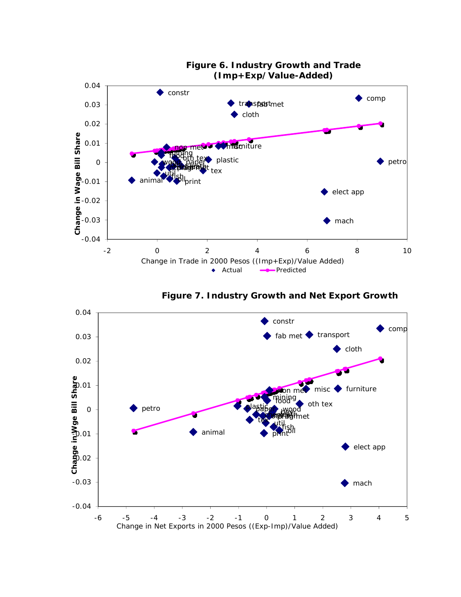

**Figure 7. Industry Growth and Net Export Growth**

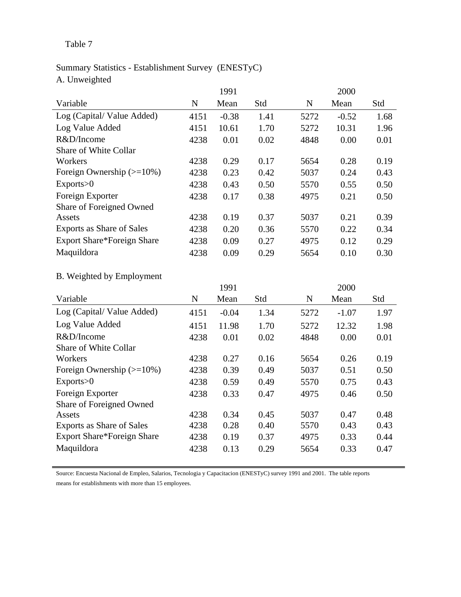# Summary Statistics - Establishment Survey (ENESTyC) A. Unweighted

|                                   |      | 1991    |      |      | 2000    |      |
|-----------------------------------|------|---------|------|------|---------|------|
| Variable                          | N    | Mean    | Std  | N    | Mean    | Std  |
| Log (Capital/Value Added)         | 4151 | $-0.38$ | 1.41 | 5272 | $-0.52$ | 1.68 |
| Log Value Added                   | 4151 | 10.61   | 1.70 | 5272 | 10.31   | 1.96 |
| R&D/Income                        | 4238 | 0.01    | 0.02 | 4848 | 0.00    | 0.01 |
| Share of White Collar             |      |         |      |      |         |      |
| Workers                           | 4238 | 0.29    | 0.17 | 5654 | 0.28    | 0.19 |
| Foreign Ownership $(>=10\%)$      | 4238 | 0.23    | 0.42 | 5037 | 0.24    | 0.43 |
| Exports>0                         | 4238 | 0.43    | 0.50 | 5570 | 0.55    | 0.50 |
| Foreign Exporter                  | 4238 | 0.17    | 0.38 | 4975 | 0.21    | 0.50 |
| Share of Foreigned Owned          |      |         |      |      |         |      |
| Assets                            | 4238 | 0.19    | 0.37 | 5037 | 0.21    | 0.39 |
| Exports as Share of Sales         | 4238 | 0.20    | 0.36 | 5570 | 0.22    | 0.34 |
| <b>Export Share*Foreign Share</b> | 4238 | 0.09    | 0.27 | 4975 | 0.12    | 0.29 |
| Maquildora                        | 4238 | 0.09    | 0.29 | 5654 | 0.10    | 0.30 |

# B. Weighted by Employment

|                                   |      | 1991    |      |      | 2000    |      |
|-----------------------------------|------|---------|------|------|---------|------|
| Variable                          | N    | Mean    | Std  | N    | Mean    | Std  |
| Log (Capital/Value Added)         | 4151 | $-0.04$ | 1.34 | 5272 | $-1.07$ | 1.97 |
| Log Value Added                   | 4151 | 11.98   | 1.70 | 5272 | 12.32   | 1.98 |
| R&D/Income                        | 4238 | 0.01    | 0.02 | 4848 | 0.00    | 0.01 |
| Share of White Collar             |      |         |      |      |         |      |
| Workers                           | 4238 | 0.27    | 0.16 | 5654 | 0.26    | 0.19 |
| Foreign Ownership $(>=10\%)$      | 4238 | 0.39    | 0.49 | 5037 | 0.51    | 0.50 |
| Exports>0                         | 4238 | 0.59    | 0.49 | 5570 | 0.75    | 0.43 |
| Foreign Exporter                  | 4238 | 0.33    | 0.47 | 4975 | 0.46    | 0.50 |
| Share of Foreigned Owned          |      |         |      |      |         |      |
| Assets                            | 4238 | 0.34    | 0.45 | 5037 | 0.47    | 0.48 |
| Exports as Share of Sales         | 4238 | 0.28    | 0.40 | 5570 | 0.43    | 0.43 |
| <b>Export Share*Foreign Share</b> | 4238 | 0.19    | 0.37 | 4975 | 0.33    | 0.44 |
| Maquildora                        | 4238 | 0.13    | 0.29 | 5654 | 0.33    | 0.47 |

Source: Encuesta Nacional de Empleo, Salarios, Tecnologia y Capacitacion (ENESTyC) survey 1991 and 2001. The table reports means for establishments with more than 15 employees.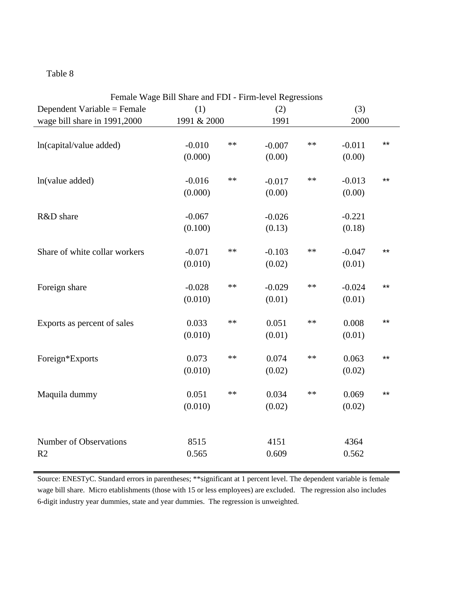| Female Wage Bill Share and FDI - Firm-level Regressions |             |       |          |       |          |       |  |  |  |  |  |
|---------------------------------------------------------|-------------|-------|----------|-------|----------|-------|--|--|--|--|--|
| Dependent Variable = Female                             | (1)         |       | (2)      |       | (3)      |       |  |  |  |  |  |
| wage bill share in 1991,2000                            | 1991 & 2000 |       | 1991     |       | 2000     |       |  |  |  |  |  |
|                                                         |             |       |          |       |          |       |  |  |  |  |  |
| ln(capital/value added)                                 | $-0.010$    | $**$  | $-0.007$ | $***$ | $-0.011$ | $***$ |  |  |  |  |  |
|                                                         | (0.000)     |       | (0.00)   |       | (0.00)   |       |  |  |  |  |  |
|                                                         |             |       |          |       |          |       |  |  |  |  |  |
| ln(value added)                                         | $-0.016$    | $**$  | $-0.017$ | $**$  | $-0.013$ | $***$ |  |  |  |  |  |
|                                                         | (0.000)     |       | (0.00)   |       | (0.00)   |       |  |  |  |  |  |
|                                                         |             |       |          |       |          |       |  |  |  |  |  |
| R&D share                                               | $-0.067$    |       | $-0.026$ |       | $-0.221$ |       |  |  |  |  |  |
|                                                         | (0.100)     |       | (0.13)   |       | (0.18)   |       |  |  |  |  |  |
|                                                         |             |       |          |       |          |       |  |  |  |  |  |
| Share of white collar workers                           | $-0.071$    | $**$  | $-0.103$ | $***$ | $-0.047$ | $***$ |  |  |  |  |  |
|                                                         | (0.010)     |       | (0.02)   |       | (0.01)   |       |  |  |  |  |  |
|                                                         |             |       |          |       |          |       |  |  |  |  |  |
| Foreign share                                           | $-0.028$    | $**$  | $-0.029$ | **    | $-0.024$ | $***$ |  |  |  |  |  |
|                                                         | (0.010)     |       | (0.01)   |       | (0.01)   |       |  |  |  |  |  |
|                                                         |             |       |          |       |          |       |  |  |  |  |  |
| Exports as percent of sales                             | 0.033       | $***$ | 0.051    | $***$ | 0.008    | $***$ |  |  |  |  |  |
|                                                         | (0.010)     |       | (0.01)   |       | (0.01)   |       |  |  |  |  |  |
|                                                         |             |       |          |       |          |       |  |  |  |  |  |
| Foreign*Exports                                         | 0.073       | $***$ | 0.074    | $***$ | 0.063    | $***$ |  |  |  |  |  |
|                                                         | (0.010)     |       | (0.02)   |       | (0.02)   |       |  |  |  |  |  |
|                                                         |             |       |          |       |          |       |  |  |  |  |  |
| Maquila dummy                                           | 0.051       | $***$ | 0.034    | $***$ | 0.069    | $***$ |  |  |  |  |  |
|                                                         | (0.010)     |       | (0.02)   |       | (0.02)   |       |  |  |  |  |  |
|                                                         |             |       |          |       |          |       |  |  |  |  |  |
|                                                         |             |       |          |       |          |       |  |  |  |  |  |
| <b>Number of Observations</b>                           | 8515        |       | 4151     |       | 4364     |       |  |  |  |  |  |
| R <sub>2</sub>                                          | 0.565       |       | 0.609    |       | 0.562    |       |  |  |  |  |  |
|                                                         |             |       |          |       |          |       |  |  |  |  |  |

Source: ENESTyC. Standard errors in parentheses; \*\*significant at 1 percent level. The dependent variable is female wage bill share. Micro etablishments (those with 15 or less employees) are excluded. The regression also includes 6-digit industry year dummies, state and year dummies. The regression is unweighted.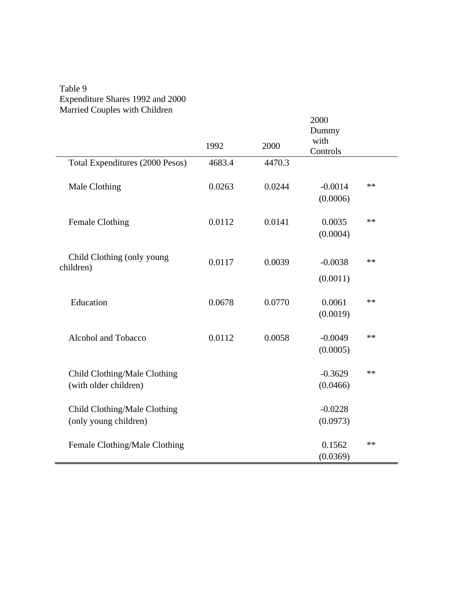# Table 9 Expenditure Shares 1992 and 2000 Married Couples with Children

|                                         |        |        | 2000      |      |
|-----------------------------------------|--------|--------|-----------|------|
|                                         |        |        | Dummy     |      |
|                                         | 1992   | 2000   | with      |      |
|                                         |        |        | Controls  |      |
| Total Expenditures (2000 Pesos)         | 4683.4 | 4470.3 |           |      |
| Male Clothing                           | 0.0263 | 0.0244 | $-0.0014$ | **   |
|                                         |        |        | (0.0006)  |      |
|                                         |        |        |           |      |
| <b>Female Clothing</b>                  | 0.0112 | 0.0141 | 0.0035    | $**$ |
|                                         |        |        | (0.0004)  |      |
|                                         |        |        |           |      |
| Child Clothing (only young<br>children) | 0.0117 | 0.0039 | $-0.0038$ | **   |
|                                         |        |        | (0.0011)  |      |
|                                         |        |        |           |      |
| Education                               | 0.0678 | 0.0770 | 0.0061    | $**$ |
|                                         |        |        | (0.0019)  |      |
|                                         |        |        |           | **   |
| Alcohol and Tobacco                     | 0.0112 | 0.0058 | $-0.0049$ |      |
|                                         |        |        | (0.0005)  |      |
| Child Clothing/Male Clothing            |        |        | $-0.3629$ | **   |
| (with older children)                   |        |        | (0.0466)  |      |
|                                         |        |        |           |      |
| Child Clothing/Male Clothing            |        |        | $-0.0228$ |      |
| (only young children)                   |        |        | (0.0973)  |      |
|                                         |        |        |           |      |
| Female Clothing/Male Clothing           |        |        | 0.1562    | **   |
|                                         |        |        | (0.0369)  |      |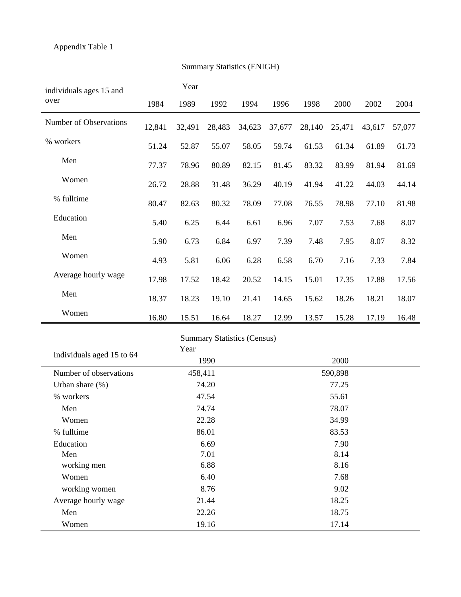| individuals ages 15 and   |        | Year    |                        |                                    |         |        |                  |        |        |  |
|---------------------------|--------|---------|------------------------|------------------------------------|---------|--------|------------------|--------|--------|--|
| over                      | 1984   | 1989    | 1992                   | 1994                               | 1996    | 1998   | 2000             | 2002   | 2004   |  |
| Number of Observations    | 12,841 | 32,491  | 28,483                 | 34,623                             | 37,677  | 28,140 | 25,471           | 43,617 | 57,077 |  |
| % workers                 | 51.24  | 52.87   | 55.07                  | 58.05                              | 59.74   | 61.53  | 61.34            | 61.89  | 61.73  |  |
| Men                       | 77.37  | 78.96   | 80.89                  | 82.15                              | 81.45   | 83.32  | 83.99            | 81.94  | 81.69  |  |
| Women                     | 26.72  | 28.88   | 31.48                  | 36.29                              | 40.19   | 41.94  | 41.22            | 44.03  | 44.14  |  |
| % fulltime                | 80.47  | 82.63   | 80.32                  | 78.09                              | 77.08   | 76.55  | 78.98            | 77.10  | 81.98  |  |
| Education                 | 5.40   | 6.25    | 6.44                   | 6.61                               | 6.96    | 7.07   | 7.53             | 7.68   | 8.07   |  |
| Men                       | 5.90   | 6.73    | 6.84                   | 6.97                               | 7.39    | 7.48   | 7.95             | 8.07   | 8.32   |  |
| Women                     | 4.93   | 5.81    | 6.06                   | 6.28                               | 6.58    | 6.70   | 7.16             | 7.33   | 7.84   |  |
| Average hourly wage       | 17.98  | 17.52   | 18.42                  | 20.52                              | 14.15   | 15.01  | 17.35            | 17.88  | 17.56  |  |
| Men                       | 18.37  | 18.23   | 19.10                  | 21.41                              | 14.65   | 15.62  | 18.26            | 18.21  | 18.07  |  |
| Women                     | 16.80  | 15.51   | 16.64                  | 18.27                              | 12.99   | 13.57  | 15.28            | 17.19  | 16.48  |  |
|                           |        | Year    |                        | <b>Summary Statistics (Census)</b> |         |        |                  |        |        |  |
| Individuals aged 15 to 64 |        |         | 1990                   |                                    | 2000    |        |                  |        |        |  |
| Number of observations    |        | 458,411 |                        |                                    | 590,898 |        |                  |        |        |  |
| Urban share $(\%)$        |        |         | 74.20                  |                                    |         | 77.25  |                  |        |        |  |
| $0/$ workare              |        |         | $A \rightarrow \leq A$ |                                    |         |        | 55 <sub>61</sub> |        |        |  |

# Summary Statistics (ENIGH)

|                           | <b>Summary Statistics (Census)</b> |         |  |
|---------------------------|------------------------------------|---------|--|
| Individuals aged 15 to 64 | Year                               |         |  |
|                           | 1990                               | 2000    |  |
| Number of observations    | 458,411                            | 590,898 |  |
| Urban share $(\%)$        | 74.20                              | 77.25   |  |
| % workers                 | 47.54                              | 55.61   |  |
| Men                       | 74.74                              | 78.07   |  |
| Women                     | 22.28                              | 34.99   |  |
| % fulltime                | 86.01                              | 83.53   |  |
| Education                 | 6.69                               | 7.90    |  |
| Men                       | 7.01                               | 8.14    |  |
| working men               | 6.88                               | 8.16    |  |
| Women                     | 6.40                               | 7.68    |  |
| working women             | 8.76                               | 9.02    |  |
| Average hourly wage       | 21.44                              | 18.25   |  |
| Men                       | 22.26                              | 18.75   |  |
| Women                     | 19.16                              | 17.14   |  |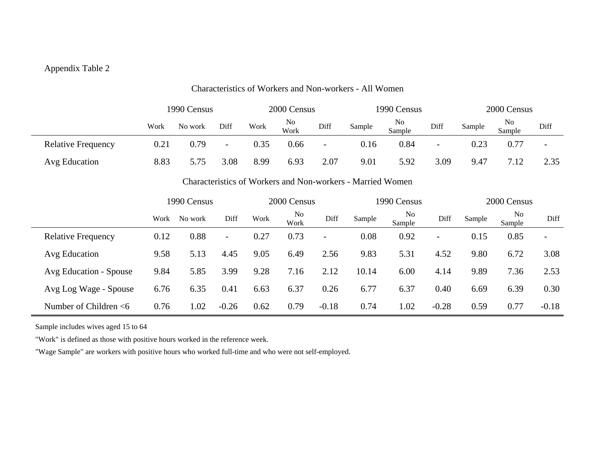# Appendix Table 2

|                           |            | 1990 Census |                          | 2000 Census |            |      | 1990 Census |              |                          | 2000 Census |              |                          |
|---------------------------|------------|-------------|--------------------------|-------------|------------|------|-------------|--------------|--------------------------|-------------|--------------|--------------------------|
|                           | Work       | No work     | Diff                     | Work        | No<br>Work | Diff | Sample      | No<br>Sample | Diff                     | Sample      | No<br>Sample | Diff                     |
| <b>Relative Frequency</b> | $\rm 0.21$ | 0.79        | $\overline{\phantom{a}}$ | 0.35        | 0.66       | -    | 0.16        | 0.84         | $\overline{\phantom{0}}$ | 0.23        | 0.77         | $\overline{\phantom{a}}$ |
| Avg Education             | 8.83       |             | 3.08                     | 8.99        | 6.93       | 2.07 | 9.01        | 5.92         | 3.09                     | 9.47        | 7.12         | 2.35                     |

#### Characteristics of Workers and Non-workers - All Women

#### Characteristics of Workers and Non-workers - Married Women

|                           |      | 1990 Census |                          | 2000 Census |                        |         | 1990 Census |                          |         | 2000 Census |                          |                          |
|---------------------------|------|-------------|--------------------------|-------------|------------------------|---------|-------------|--------------------------|---------|-------------|--------------------------|--------------------------|
|                           | Work | No work     | Diff                     | Work        | N <sub>0</sub><br>Work | Diff    | Sample      | N <sub>0</sub><br>Sample | Diff    | Sample      | N <sub>0</sub><br>Sample | Diff                     |
| <b>Relative Frequency</b> | 0.12 | 0.88        | $\overline{\phantom{a}}$ | 0.27        | 0.73                   |         | 0.08        | 0.92                     |         | 0.15        | 0.85                     | $\overline{\phantom{a}}$ |
| Avg Education             | 9.58 | 5.13        | 4.45                     | 9.05        | 6.49                   | 2.56    | 9.83        | 5.31                     | 4.52    | 9.80        | 6.72                     | 3.08                     |
| Avg Education - Spouse    | 9.84 | 5.85        | 3.99                     | 9.28        | 7.16                   | 2.12    | 10.14       | 6.00                     | 4.14    | 9.89        | 7.36                     | 2.53                     |
| Avg Log Wage - Spouse     | 6.76 | 6.35        | 0.41                     | 6.63        | 6.37                   | 0.26    | 6.77        | 6.37                     | 0.40    | 6.69        | 6.39                     | 0.30                     |
| Number of Children $<$ 6  | 0.76 | 1.02        | $-0.26$                  | 0.62        | 0.79                   | $-0.18$ | 0.74        | 1.02                     | $-0.28$ | 0.59        | 0.77                     | $-0.18$                  |

Sample includes wives aged 15 to 64

"Work" is defined as those with positive hours worked in the reference week.

"Wage Sample" are workers with positive hours who worked full-time and who were not self-employed.